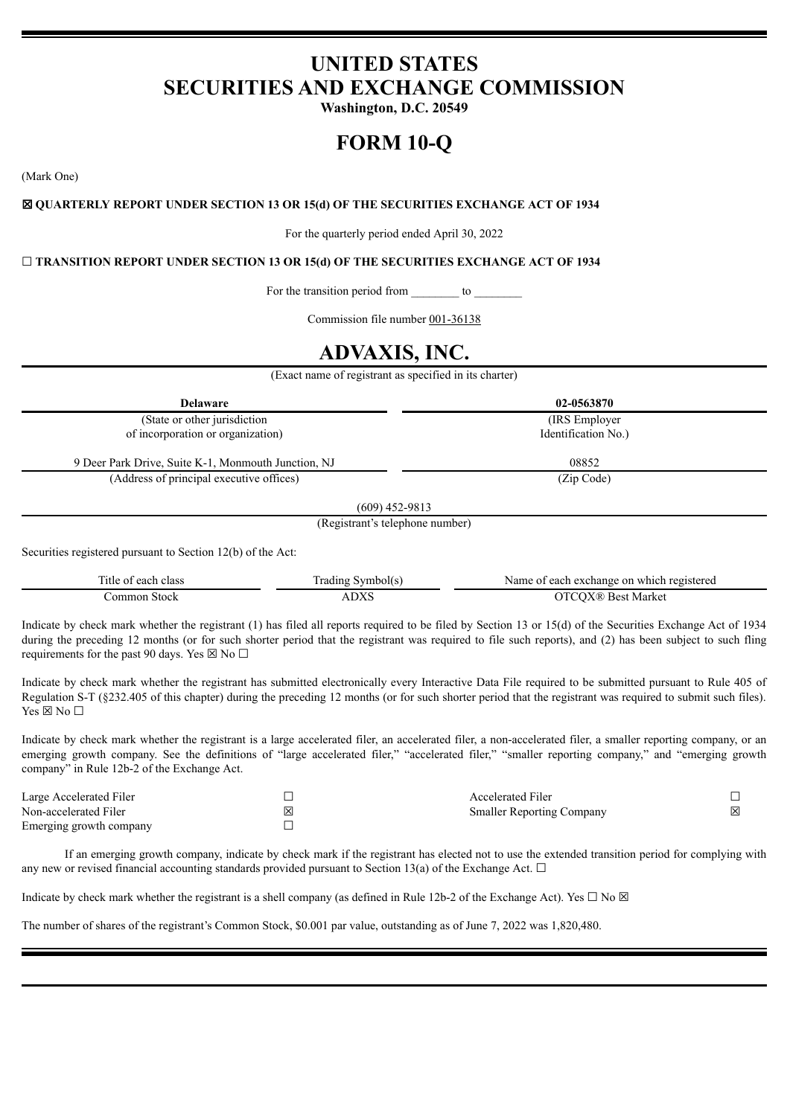# **UNITED STATES SECURITIES AND EXCHANGE COMMISSION**

**Washington, D.C. 20549**

# **FORM 10-Q**

(Mark One)

# ☒ **QUARTERLY REPORT UNDER SECTION 13 OR 15(d) OF THE SECURITIES EXCHANGE ACT OF 1934**

For the quarterly period ended April 30, 2022

☐ **TRANSITION REPORT UNDER SECTION 13 OR 15(d) OF THE SECURITIES EXCHANGE ACT OF 1934**

For the transition period from \_\_\_\_\_\_\_\_ to \_\_\_\_\_\_\_\_

Commission file number 001-36138

# **ADVAXIS, INC.**

(Exact name of registrant as specified in its charter)

| 02-0563870<br><b>Delaware</b>                               |                                 |                                           |
|-------------------------------------------------------------|---------------------------------|-------------------------------------------|
| (State or other jurisdiction<br>(IRS Employer)              |                                 |                                           |
| of incorporation or organization)                           |                                 | Identification No.)                       |
| 9 Deer Park Drive, Suite K-1, Monmouth Junction, NJ         |                                 | 08852                                     |
| (Address of principal executive offices)                    |                                 | (Zip Code)                                |
|                                                             | $(609)$ 452-9813                |                                           |
|                                                             | (Registrant's telephone number) |                                           |
| Securities registered pursuant to Section 12(b) of the Act: |                                 |                                           |
| Title of each class                                         | Trading Symbol(s)               | Name of each exchange on which registered |

Indicate by check mark whether the registrant (1) has filed all reports required to be filed by Section 13 or 15(d) of the Securities Exchange Act of 1934 during the preceding 12 months (or for such shorter period that the registrant was required to file such reports), and (2) has been subject to such fling requirements for the past 90 days. Yes  $\boxtimes$  No  $\Box$ 

Common Stock ADXS OTCQX® Best Market

Indicate by check mark whether the registrant has submitted electronically every Interactive Data File required to be submitted pursuant to Rule 405 of Regulation S-T (§232.405 of this chapter) during the preceding 12 months (or for such shorter period that the registrant was required to submit such files).  $Yes \boxtimes No \square$ 

Indicate by check mark whether the registrant is a large accelerated filer, an accelerated filer, a non-accelerated filer, a smaller reporting company, or an emerging growth company. See the definitions of "large accelerated filer," "accelerated filer," "smaller reporting company," and "emerging growth company" in Rule 12b-2 of the Exchange Act.

| Large Accelerated Filer | <b>Accelerated Filer</b>         |  |
|-------------------------|----------------------------------|--|
| Non-accelerated Filer   | <b>Smaller Reporting Company</b> |  |
| Emerging growth company |                                  |  |

If an emerging growth company, indicate by check mark if the registrant has elected not to use the extended transition period for complying with any new or revised financial accounting standards provided pursuant to Section 13(a) of the Exchange Act.  $\Box$ 

Indicate by check mark whether the registrant is a shell company (as defined in Rule 12b-2 of the Exchange Act). Yes  $\Box$  No  $\boxtimes$ 

The number of shares of the registrant's Common Stock, \$0.001 par value, outstanding as of June 7, 2022 was 1,820,480.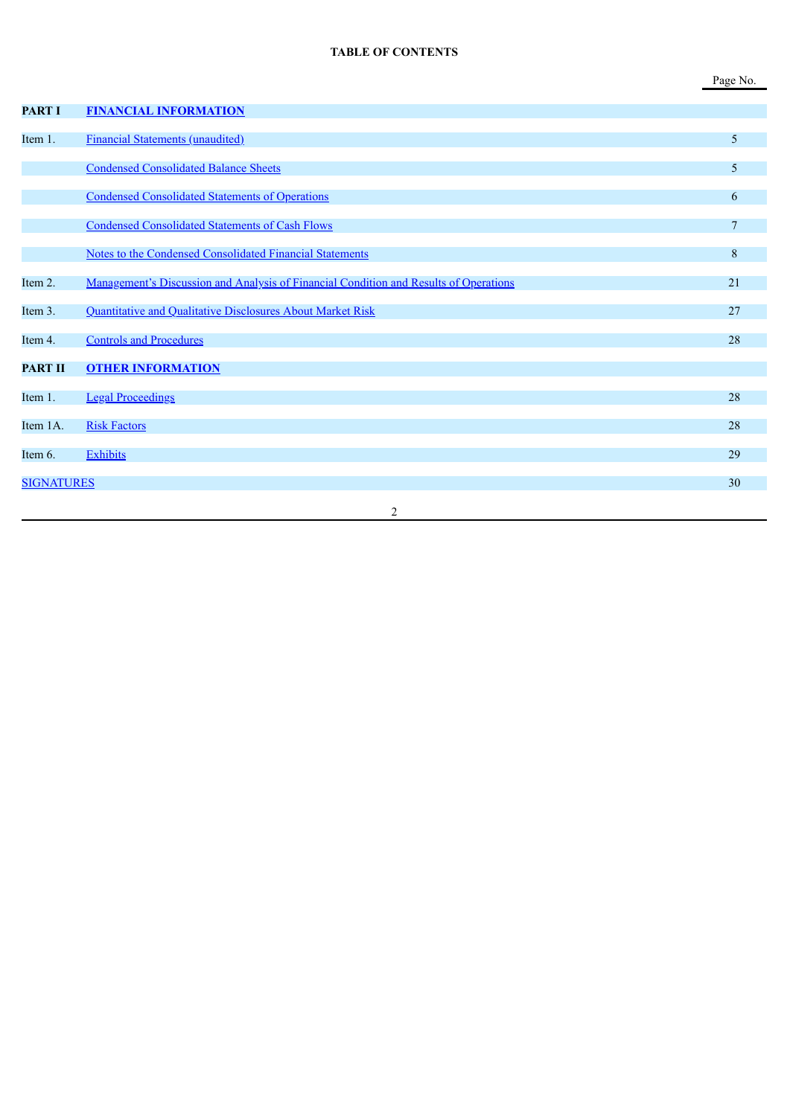# **TABLE OF CONTENTS**

|                   |                                                                                       | Page No.       |
|-------------------|---------------------------------------------------------------------------------------|----------------|
| <b>PART I</b>     |                                                                                       |                |
|                   | <b>FINANCIAL INFORMATION</b>                                                          |                |
| Item 1.           | <b>Financial Statements (unaudited)</b>                                               | 5              |
|                   | <b>Condensed Consolidated Balance Sheets</b>                                          | 5              |
|                   | <b>Condensed Consolidated Statements of Operations</b>                                | 6              |
|                   |                                                                                       |                |
|                   | <b>Condensed Consolidated Statements of Cash Flows</b>                                | $\overline{7}$ |
|                   | Notes to the Condensed Consolidated Financial Statements                              | 8              |
| Item 2.           | Management's Discussion and Analysis of Financial Condition and Results of Operations | 21             |
| Item 3.           | Quantitative and Qualitative Disclosures About Market Risk                            | 27             |
| Item 4.           | <b>Controls and Procedures</b>                                                        | 28             |
| <b>PART II</b>    | <b>OTHER INFORMATION</b>                                                              |                |
| Item 1.           | <b>Legal Proceedings</b>                                                              | 28             |
| Item 1A.          | <b>Risk Factors</b>                                                                   | 28             |
| Item 6.           | <b>Exhibits</b>                                                                       | 29             |
| <b>SIGNATURES</b> |                                                                                       | 30             |
|                   | $\overline{2}$                                                                        |                |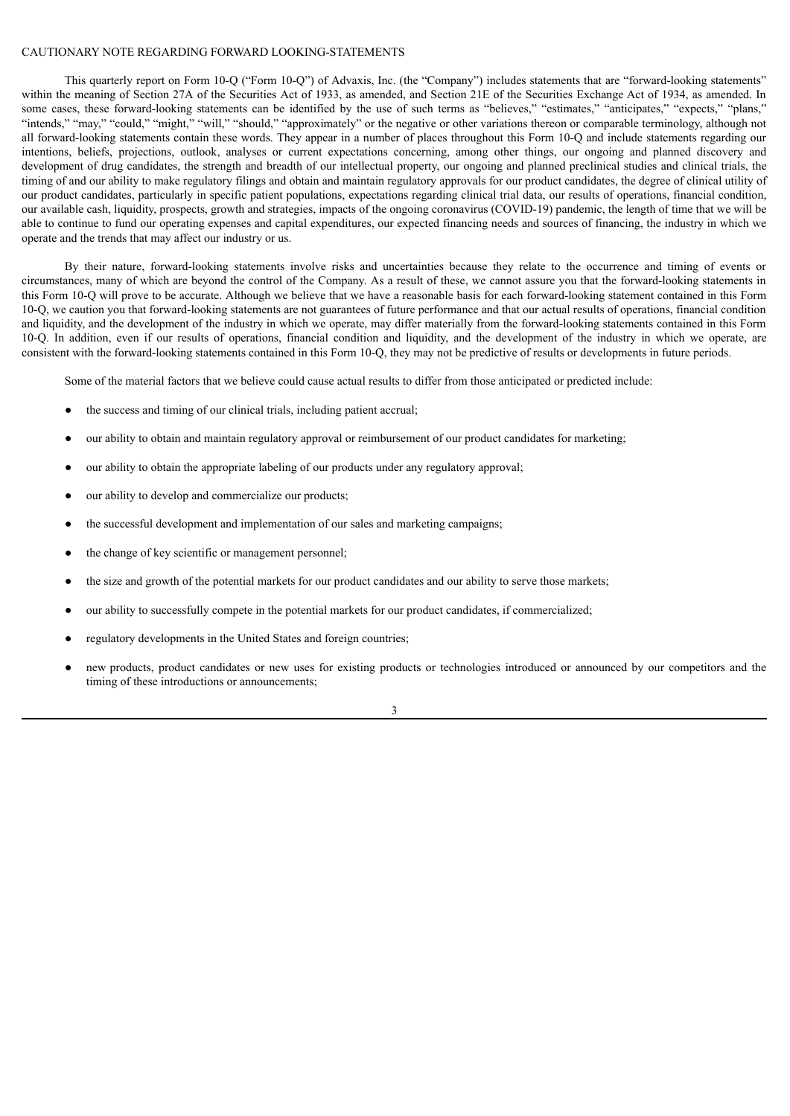# CAUTIONARY NOTE REGARDING FORWARD LOOKING-STATEMENTS

This quarterly report on Form 10-Q ("Form 10-Q") of Advaxis, Inc. (the "Company") includes statements that are "forward-looking statements" within the meaning of Section 27A of the Securities Act of 1933, as amended, and Section 21E of the Securities Exchange Act of 1934, as amended. In some cases, these forward-looking statements can be identified by the use of such terms as "believes," "estimates," "anticipates," "expects," "plans," "intends," "may," "could," "might," "will," "should," "approximately" or the negative or other variations thereon or comparable terminology, although not all forward-looking statements contain these words. They appear in a number of places throughout this Form 10-Q and include statements regarding our intentions, beliefs, projections, outlook, analyses or current expectations concerning, among other things, our ongoing and planned discovery and development of drug candidates, the strength and breadth of our intellectual property, our ongoing and planned preclinical studies and clinical trials, the timing of and our ability to make regulatory filings and obtain and maintain regulatory approvals for our product candidates, the degree of clinical utility of our product candidates, particularly in specific patient populations, expectations regarding clinical trial data, our results of operations, financial condition, our available cash, liquidity, prospects, growth and strategies, impacts of the ongoing coronavirus (COVID-19) pandemic, the length of time that we will be able to continue to fund our operating expenses and capital expenditures, our expected financing needs and sources of financing, the industry in which we operate and the trends that may affect our industry or us.

By their nature, forward-looking statements involve risks and uncertainties because they relate to the occurrence and timing of events or circumstances, many of which are beyond the control of the Company. As a result of these, we cannot assure you that the forward-looking statements in this Form 10-Q will prove to be accurate. Although we believe that we have a reasonable basis for each forward-looking statement contained in this Form 10-Q, we caution you that forward-looking statements are not guarantees of future performance and that our actual results of operations, financial condition and liquidity, and the development of the industry in which we operate, may differ materially from the forward-looking statements contained in this Form 10-Q. In addition, even if our results of operations, financial condition and liquidity, and the development of the industry in which we operate, are consistent with the forward-looking statements contained in this Form 10-Q, they may not be predictive of results or developments in future periods.

Some of the material factors that we believe could cause actual results to differ from those anticipated or predicted include:

- the success and timing of our clinical trials, including patient accrual;
- our ability to obtain and maintain regulatory approval or reimbursement of our product candidates for marketing;
- our ability to obtain the appropriate labeling of our products under any regulatory approval;
- our ability to develop and commercialize our products;
- the successful development and implementation of our sales and marketing campaigns;
- the change of key scientific or management personnel;
- the size and growth of the potential markets for our product candidates and our ability to serve those markets;
- our ability to successfully compete in the potential markets for our product candidates, if commercialized;
- regulatory developments in the United States and foreign countries;
- new products, product candidates or new uses for existing products or technologies introduced or announced by our competitors and the timing of these introductions or announcements;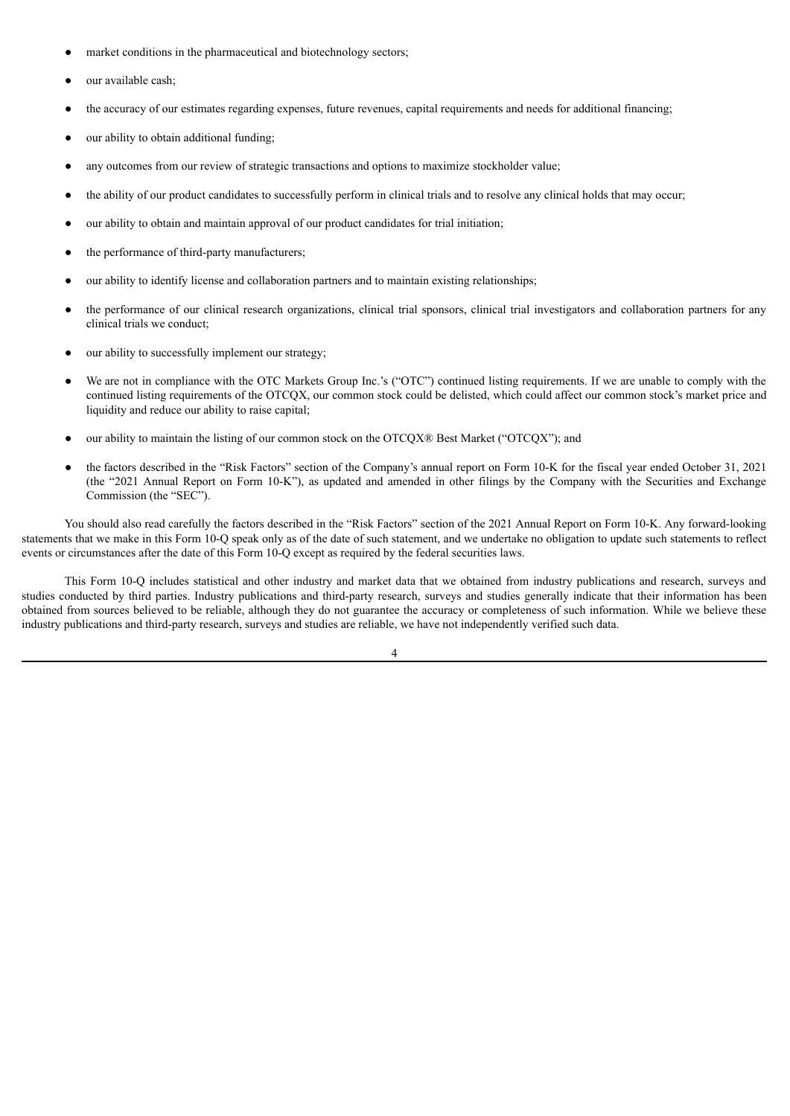- market conditions in the pharmaceutical and biotechnology sectors;
- our available cash;
- the accuracy of our estimates regarding expenses, future revenues, capital requirements and needs for additional financing;
- our ability to obtain additional funding;
- any outcomes from our review of strategic transactions and options to maximize stockholder value;
- the ability of our product candidates to successfully perform in clinical trials and to resolve any clinical holds that may occur;
- our ability to obtain and maintain approval of our product candidates for trial initiation;
- the performance of third-party manufacturers;
- our ability to identify license and collaboration partners and to maintain existing relationships;
- the performance of our clinical research organizations, clinical trial sponsors, clinical trial investigators and collaboration partners for any clinical trials we conduct;
- our ability to successfully implement our strategy;
- We are not in compliance with the OTC Markets Group Inc.'s ("OTC") continued listing requirements. If we are unable to comply with the continued listing requirements of the OTCQX, our common stock could be delisted, which could affect our common stock's market price and liquidity and reduce our ability to raise capital;
- our ability to maintain the listing of our common stock on the OTCQX® Best Market ("OTCQX"); and
- the factors described in the "Risk Factors" section of the Company's annual report on Form 10-K for the fiscal year ended October 31, 2021 (the "2021 Annual Report on Form 10-K"), as updated and amended in other filings by the Company with the Securities and Exchange Commission (the "SEC").

You should also read carefully the factors described in the "Risk Factors" section of the 2021 Annual Report on Form 10-K. Any forward-looking statements that we make in this Form 10-Q speak only as of the date of such statement, and we undertake no obligation to update such statements to reflect events or circumstances after the date of this Form 10-Q except as required by the federal securities laws.

This Form 10-Q includes statistical and other industry and market data that we obtained from industry publications and research, surveys and studies conducted by third parties. Industry publications and third-party research, surveys and studies generally indicate that their information has been obtained from sources believed to be reliable, although they do not guarantee the accuracy or completeness of such information. While we believe these industry publications and third-party research, surveys and studies are reliable, we have not independently verified such data.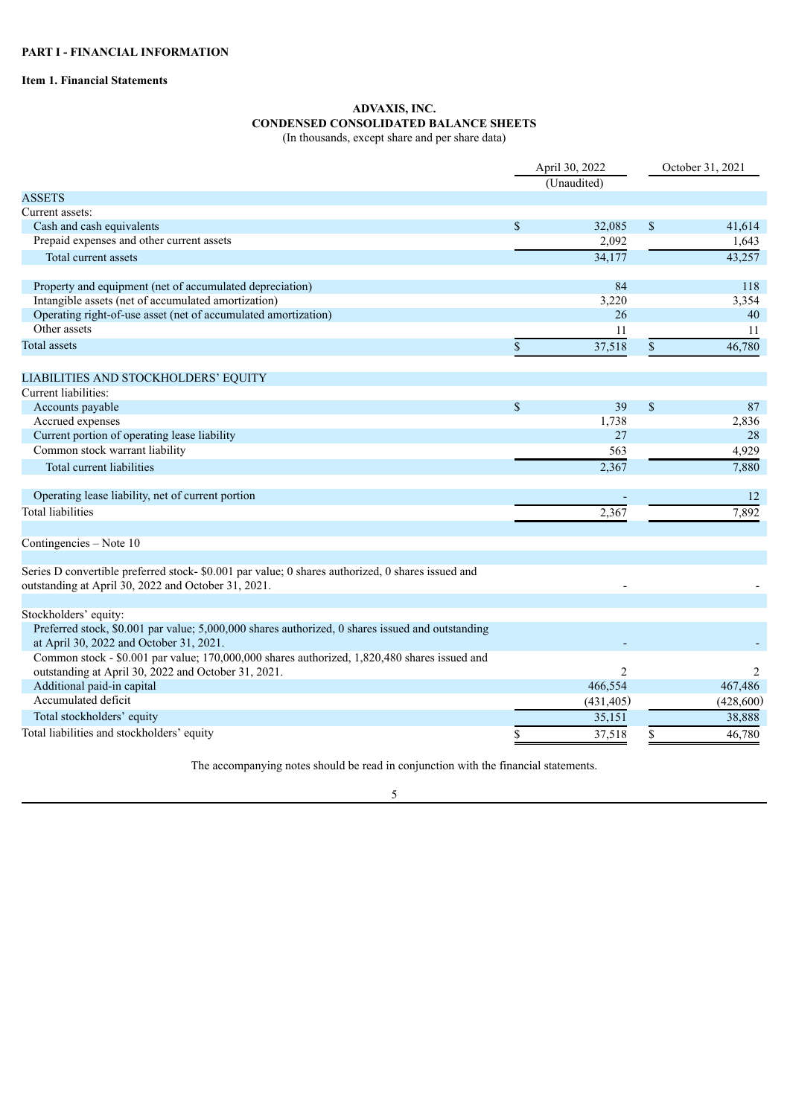<span id="page-4-2"></span><span id="page-4-1"></span><span id="page-4-0"></span>**Item 1. Financial Statements**

# **ADVAXIS, INC. CONDENSED CONSOLIDATED BALANCE SHEETS**

(In thousands, except share and per share data)

|                                                                                                                                                          |    | April 30, 2022<br>(Unaudited) | October 31, 2021 |           |
|----------------------------------------------------------------------------------------------------------------------------------------------------------|----|-------------------------------|------------------|-----------|
| <b>ASSETS</b>                                                                                                                                            |    |                               |                  |           |
| Current assets:                                                                                                                                          |    |                               |                  |           |
| Cash and cash equivalents                                                                                                                                | \$ | 32,085                        | \$               | 41.614    |
| Prepaid expenses and other current assets                                                                                                                |    | 2,092                         |                  | 1,643     |
| Total current assets                                                                                                                                     |    | 34,177                        |                  | 43,257    |
| Property and equipment (net of accumulated depreciation)                                                                                                 |    | 84                            |                  | 118       |
| Intangible assets (net of accumulated amortization)                                                                                                      |    | 3,220                         |                  | 3,354     |
| Operating right-of-use asset (net of accumulated amortization)                                                                                           |    | 26                            |                  | 40        |
| Other assets                                                                                                                                             |    | 11                            |                  | 11        |
| <b>Total assets</b>                                                                                                                                      | \$ | 37,518                        | \$               | 46,780    |
|                                                                                                                                                          |    |                               |                  |           |
| LIABILITIES AND STOCKHOLDERS' EQUITY<br>Current liabilities:                                                                                             |    |                               |                  |           |
| Accounts payable                                                                                                                                         | \$ | 39                            | \$               | 87        |
| Accrued expenses                                                                                                                                         |    | 1,738                         |                  | 2,836     |
| Current portion of operating lease liability                                                                                                             |    | 27                            |                  | 28        |
| Common stock warrant liability                                                                                                                           |    | 563                           |                  | 4,929     |
| Total current liabilities                                                                                                                                |    | 2,367                         |                  | 7,880     |
| Operating lease liability, net of current portion                                                                                                        |    |                               |                  | 12        |
| <b>Total liabilities</b>                                                                                                                                 |    | 2,367                         |                  | 7,892     |
| Contingencies - Note 10                                                                                                                                  |    |                               |                  |           |
|                                                                                                                                                          |    |                               |                  |           |
| Series D convertible preferred stock- \$0.001 par value; 0 shares authorized, 0 shares issued and<br>outstanding at April 30, 2022 and October 31, 2021. |    |                               |                  |           |
| Stockholders' equity:                                                                                                                                    |    |                               |                  |           |
| Preferred stock, \$0.001 par value; 5,000,000 shares authorized, 0 shares issued and outstanding<br>at April 30, 2022 and October 31, 2021.              |    |                               |                  |           |
| Common stock - \$0.001 par value; 170,000,000 shares authorized, 1,820,480 shares issued and<br>outstanding at April 30, 2022 and October 31, 2021.      |    | $\overline{2}$                |                  | 2         |
| Additional paid-in capital                                                                                                                               |    | 466,554                       |                  | 467,486   |
| Accumulated deficit                                                                                                                                      |    | (431, 405)                    |                  | (428,600) |
| Total stockholders' equity                                                                                                                               |    | 35,151                        |                  | 38,888    |
| Total liabilities and stockholders' equity                                                                                                               | \$ | 37,518                        | \$               | 46,780    |

The accompanying notes should be read in conjunction with the financial statements.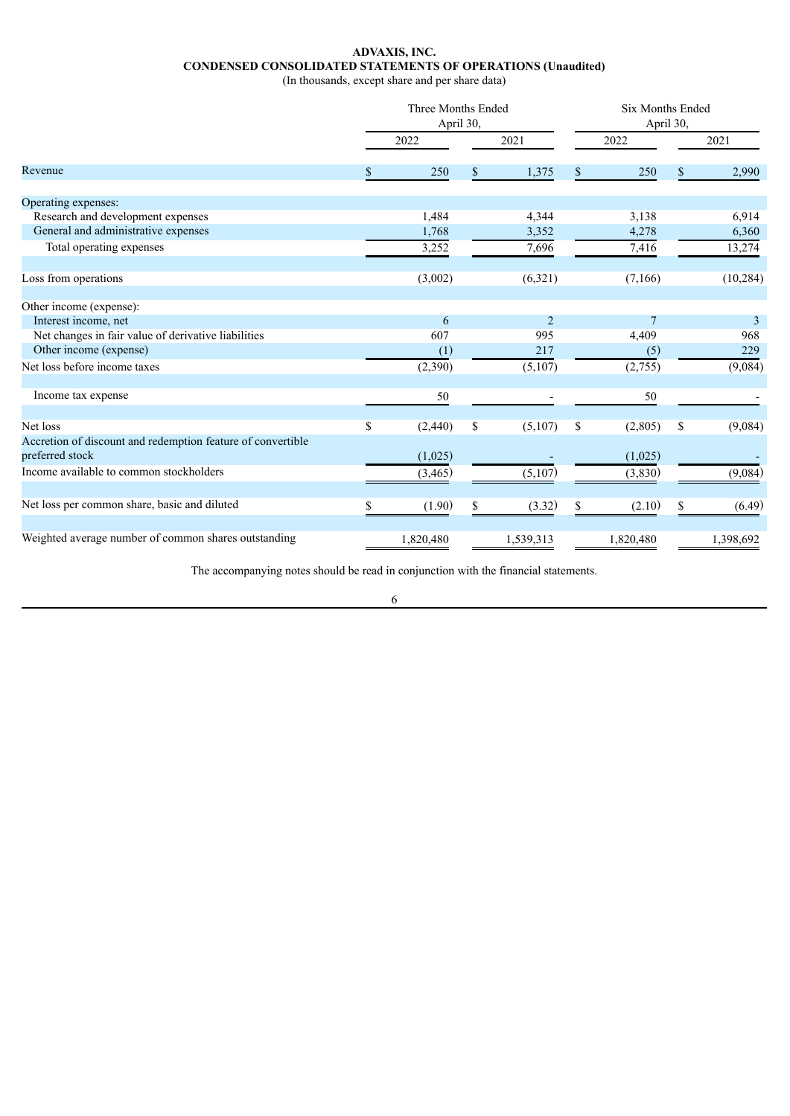# **ADVAXIS, INC. CONDENSED CONSOLIDATED STATEMENTS OF OPERATIONS (Unaudited)** (In thousands, except share and per share data)

<span id="page-5-0"></span>

|                                                             | Three Months Ended<br>April 30, |    |                |               | <b>Six Months Ended</b><br>April 30, |           |
|-------------------------------------------------------------|---------------------------------|----|----------------|---------------|--------------------------------------|-----------|
|                                                             | 2022                            |    | 2021           | 2022          |                                      | 2021      |
| Revenue                                                     | \$<br>250                       | \$ | 1,375          | \$<br>250     | \$                                   | 2,990     |
| Operating expenses:                                         |                                 |    |                |               |                                      |           |
| Research and development expenses                           | 1,484                           |    | 4,344          | 3,138         |                                      | 6,914     |
| General and administrative expenses                         | 1,768                           |    | 3,352          | 4,278         |                                      | 6,360     |
| Total operating expenses                                    | 3,252                           |    | 7,696          | 7,416         |                                      | 13,274    |
| Loss from operations                                        | (3,002)                         |    | (6,321)        | (7,166)       |                                      | (10, 284) |
| Other income (expense):                                     |                                 |    |                |               |                                      |           |
| Interest income, net                                        | 6                               |    | $\overline{2}$ | 7             |                                      | 3         |
| Net changes in fair value of derivative liabilities         | 607                             |    | 995            | 4,409         |                                      | 968       |
| Other income (expense)                                      | (1)                             |    | 217            | (5)           |                                      | 229       |
| Net loss before income taxes                                | (2,390)                         |    | (5, 107)       | (2,755)       |                                      | (9,084)   |
| Income tax expense                                          | 50                              |    |                | 50            |                                      |           |
| Net loss                                                    | \$<br>(2,440)                   | \$ | (5,107)        | \$<br>(2,805) | \$                                   | (9,084)   |
| Accretion of discount and redemption feature of convertible |                                 |    |                |               |                                      |           |
| preferred stock                                             | (1,025)                         |    |                | (1,025)       |                                      |           |
| Income available to common stockholders                     | (3,465)                         |    | (5,107)        | (3, 830)      |                                      | (9,084)   |
| Net loss per common share, basic and diluted                | (1.90)                          | S  | (3.32)         | \$<br>(2.10)  | \$                                   | (6.49)    |
| Weighted average number of common shares outstanding        | 1,820,480                       |    | 1,539,313      | 1,820,480     |                                      | 1,398,692 |

The accompanying notes should be read in conjunction with the financial statements.

6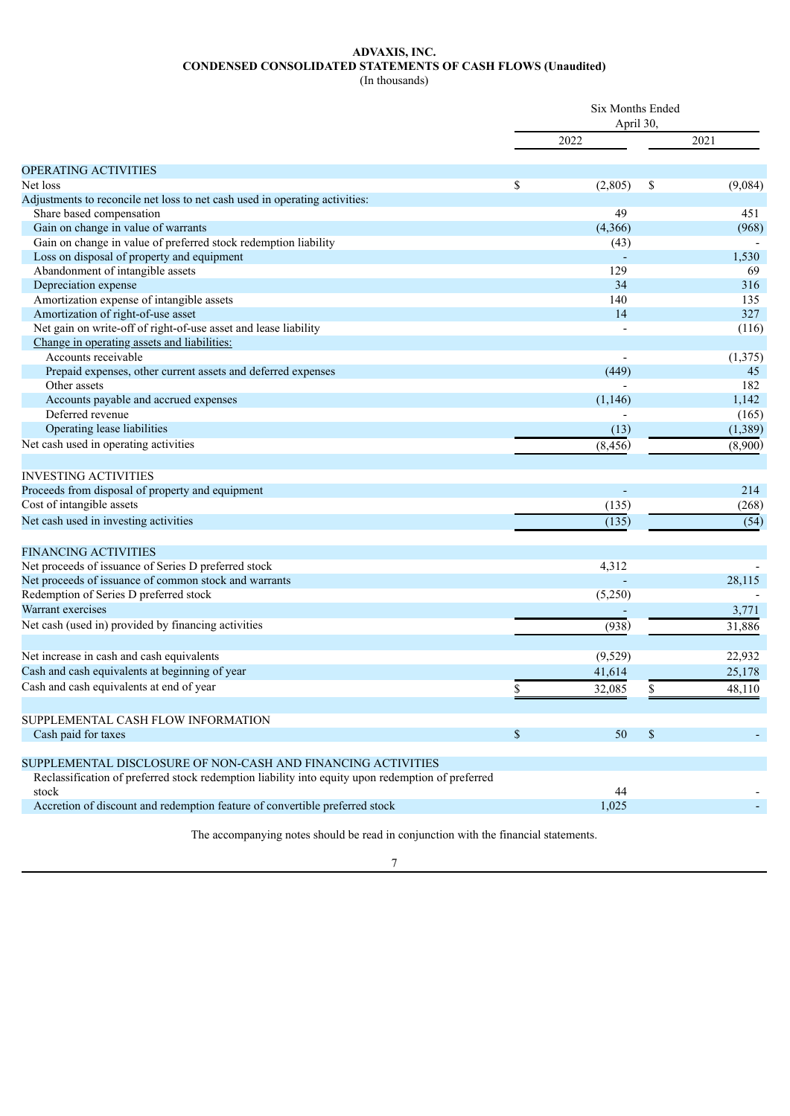# **ADVAXIS, INC. CONDENSED CONSOLIDATED STATEMENTS OF CASH FLOWS (Unaudited)** (In thousands)

<span id="page-6-0"></span>

|                                                                                                            | Six Months Ended<br>April 30, |      |         |  |
|------------------------------------------------------------------------------------------------------------|-------------------------------|------|---------|--|
|                                                                                                            | 2022                          |      | 2021    |  |
|                                                                                                            |                               |      |         |  |
| <b>OPERATING ACTIVITIES</b><br>Net loss                                                                    | \$<br>(2,805)                 | \$   | (9,084) |  |
| Adjustments to reconcile net loss to net cash used in operating activities:                                |                               |      |         |  |
| Share based compensation                                                                                   | 49                            |      | 451     |  |
| Gain on change in value of warrants                                                                        | (4,366)                       |      | (968)   |  |
| Gain on change in value of preferred stock redemption liability                                            | (43)                          |      |         |  |
| Loss on disposal of property and equipment                                                                 |                               |      | 1,530   |  |
| Abandonment of intangible assets                                                                           | 129                           |      | 69      |  |
| Depreciation expense                                                                                       | 34                            |      | 316     |  |
| Amortization expense of intangible assets                                                                  | 140                           |      | 135     |  |
| Amortization of right-of-use asset                                                                         | 14                            |      | 327     |  |
| Net gain on write-off of right-of-use asset and lease liability                                            |                               |      | (116)   |  |
| Change in operating assets and liabilities:                                                                |                               |      |         |  |
| Accounts receivable                                                                                        |                               |      | (1,375) |  |
| Prepaid expenses, other current assets and deferred expenses                                               | (449)                         |      | 45      |  |
| Other assets                                                                                               |                               |      | 182     |  |
| Accounts payable and accrued expenses                                                                      | (1,146)                       |      | 1,142   |  |
| Deferred revenue                                                                                           |                               |      | (165)   |  |
| Operating lease liabilities                                                                                | (13)                          |      | (1,389) |  |
| Net cash used in operating activities                                                                      | (8, 456)                      |      | (8,900) |  |
| <b>INVESTING ACTIVITIES</b>                                                                                |                               |      |         |  |
| Proceeds from disposal of property and equipment                                                           |                               |      | 214     |  |
| Cost of intangible assets                                                                                  | (135)                         |      | (268)   |  |
| Net cash used in investing activities                                                                      | (135)                         |      | (54)    |  |
| <b>FINANCING ACTIVITIES</b>                                                                                |                               |      |         |  |
| Net proceeds of issuance of Series D preferred stock                                                       | 4,312                         |      |         |  |
| Net proceeds of issuance of common stock and warrants                                                      |                               |      | 28,115  |  |
| Redemption of Series D preferred stock                                                                     | (5,250)                       |      |         |  |
| Warrant exercises                                                                                          |                               |      | 3,771   |  |
| Net cash (used in) provided by financing activities                                                        | (938)                         |      | 31,886  |  |
| Net increase in cash and cash equivalents                                                                  | (9, 529)                      |      | 22,932  |  |
| Cash and cash equivalents at beginning of year                                                             | 41,614                        |      | 25,178  |  |
| Cash and cash equivalents at end of year                                                                   | \$<br>32,085                  | \$   | 48,110  |  |
| SUPPLEMENTAL CASH FLOW INFORMATION                                                                         |                               |      |         |  |
| Cash paid for taxes                                                                                        | \$<br>50                      | $\$$ |         |  |
| SUPPLEMENTAL DISCLOSURE OF NON-CASH AND FINANCING ACTIVITIES                                               |                               |      |         |  |
| Reclassification of preferred stock redemption liability into equity upon redemption of preferred<br>stock | 44                            |      |         |  |
| Accretion of discount and redemption feature of convertible preferred stock                                | 1,025                         |      |         |  |
|                                                                                                            |                               |      |         |  |

The accompanying notes should be read in conjunction with the financial statements.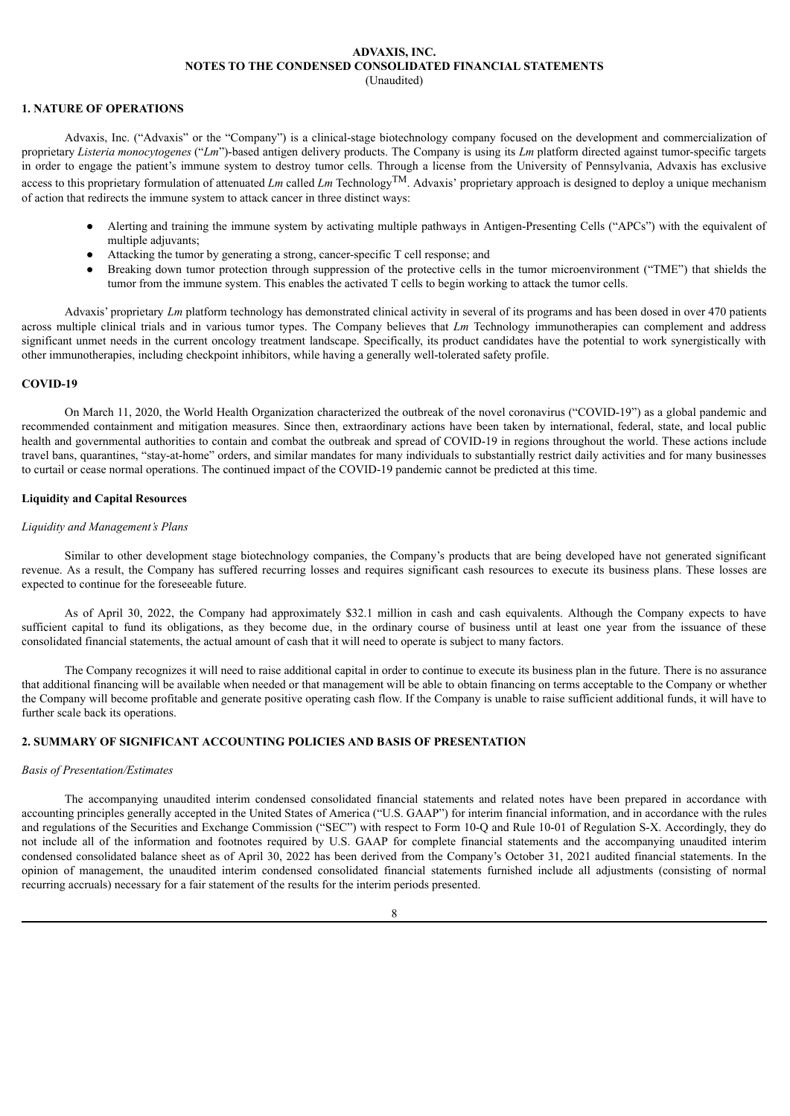#### **ADVAXIS, INC. NOTES TO THE CONDENSED CONSOLIDATED FINANCIAL STATEMENTS** (Unaudited)

# <span id="page-7-0"></span>**1. NATURE OF OPERATIONS**

Advaxis, Inc. ("Advaxis" or the "Company") is a clinical-stage biotechnology company focused on the development and commercialization of proprietary *Listeria monocytogenes* ("*Lm*")-based antigen delivery products. The Company is using its *Lm* platform directed against tumor-specific targets in order to engage the patient's immune system to destroy tumor cells. Through a license from the University of Pennsylvania, Advaxis has exclusive access to this proprietary formulation of attenuated *Lm* called *Lm* Technology<sup>TM</sup>. Advaxis' proprietary approach is designed to deploy a unique mechanism of action that redirects the immune system to attack cancer in three distinct ways:

- Alerting and training the immune system by activating multiple pathways in Antigen-Presenting Cells ("APCs") with the equivalent of multiple adjuvants;
- Attacking the tumor by generating a strong, cancer-specific  $T$  cell response; and
- Breaking down tumor protection through suppression of the protective cells in the tumor microenvironment ("TME") that shields the tumor from the immune system. This enables the activated T cells to begin working to attack the tumor cells.

Advaxis' proprietary *Lm* platform technology has demonstrated clinical activity in several of its programs and has been dosed in over 470 patients across multiple clinical trials and in various tumor types. The Company believes that *Lm* Technology immunotherapies can complement and address significant unmet needs in the current oncology treatment landscape. Specifically, its product candidates have the potential to work synergistically with other immunotherapies, including checkpoint inhibitors, while having a generally well-tolerated safety profile.

# **COVID-19**

On March 11, 2020, the World Health Organization characterized the outbreak of the novel coronavirus ("COVID-19") as a global pandemic and recommended containment and mitigation measures. Since then, extraordinary actions have been taken by international, federal, state, and local public health and governmental authorities to contain and combat the outbreak and spread of COVID-19 in regions throughout the world. These actions include travel bans, quarantines, "stay-at-home" orders, and similar mandates for many individuals to substantially restrict daily activities and for many businesses to curtail or cease normal operations. The continued impact of the COVID-19 pandemic cannot be predicted at this time.

#### **Liquidity and Capital Resources**

#### *Liquidity and Management's Plans*

Similar to other development stage biotechnology companies, the Company's products that are being developed have not generated significant revenue. As a result, the Company has suffered recurring losses and requires significant cash resources to execute its business plans. These losses are expected to continue for the foreseeable future.

As of April 30, 2022, the Company had approximately \$32.1 million in cash and cash equivalents. Although the Company expects to have sufficient capital to fund its obligations, as they become due, in the ordinary course of business until at least one year from the issuance of these consolidated financial statements, the actual amount of cash that it will need to operate is subject to many factors.

The Company recognizes it will need to raise additional capital in order to continue to execute its business plan in the future. There is no assurance that additional financing will be available when needed or that management will be able to obtain financing on terms acceptable to the Company or whether the Company will become profitable and generate positive operating cash flow. If the Company is unable to raise sufficient additional funds, it will have to further scale back its operations.

# **2. SUMMARY OF SIGNIFICANT ACCOUNTING POLICIES AND BASIS OF PRESENTATION**

#### *Basis of Presentation/Estimates*

The accompanying unaudited interim condensed consolidated financial statements and related notes have been prepared in accordance with accounting principles generally accepted in the United States of America ("U.S. GAAP") for interim financial information, and in accordance with the rules and regulations of the Securities and Exchange Commission ("SEC") with respect to Form 10-Q and Rule 10-01 of Regulation S-X. Accordingly, they do not include all of the information and footnotes required by U.S. GAAP for complete financial statements and the accompanying unaudited interim condensed consolidated balance sheet as of April 30, 2022 has been derived from the Company's October 31, 2021 audited financial statements. In the opinion of management, the unaudited interim condensed consolidated financial statements furnished include all adjustments (consisting of normal recurring accruals) necessary for a fair statement of the results for the interim periods presented.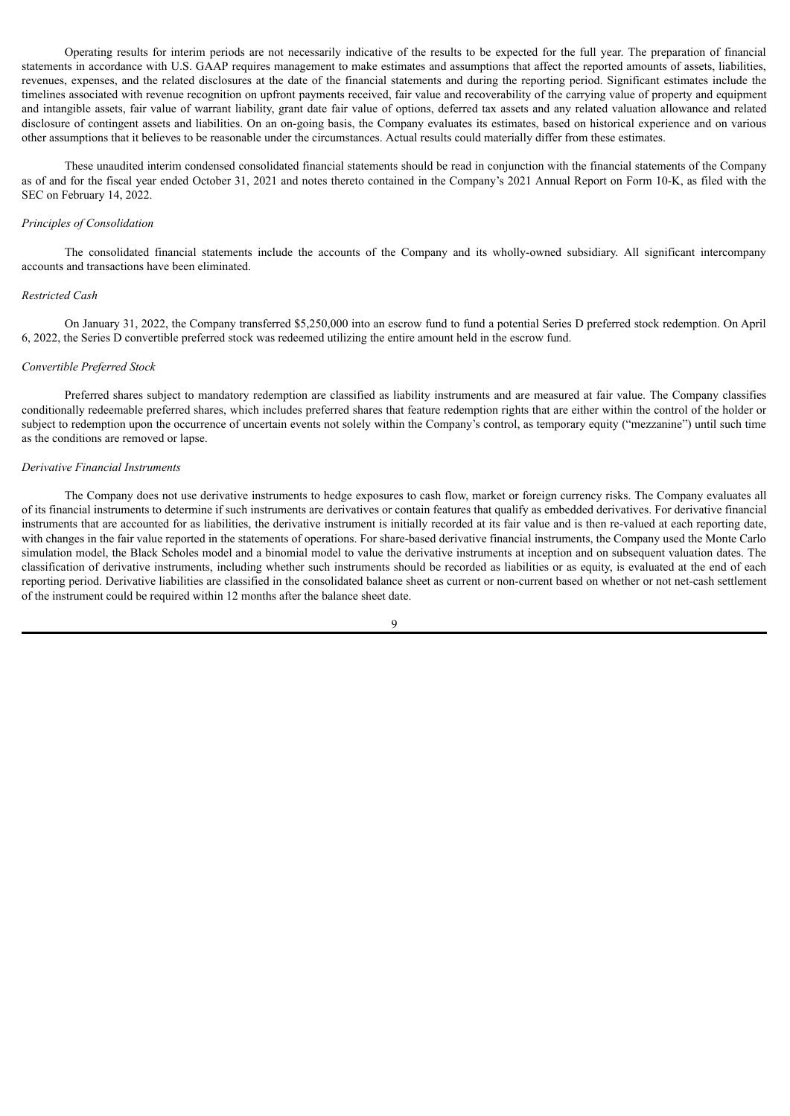Operating results for interim periods are not necessarily indicative of the results to be expected for the full year. The preparation of financial statements in accordance with U.S. GAAP requires management to make estimates and assumptions that affect the reported amounts of assets, liabilities, revenues, expenses, and the related disclosures at the date of the financial statements and during the reporting period. Significant estimates include the timelines associated with revenue recognition on upfront payments received, fair value and recoverability of the carrying value of property and equipment and intangible assets, fair value of warrant liability, grant date fair value of options, deferred tax assets and any related valuation allowance and related disclosure of contingent assets and liabilities. On an on-going basis, the Company evaluates its estimates, based on historical experience and on various other assumptions that it believes to be reasonable under the circumstances. Actual results could materially differ from these estimates.

These unaudited interim condensed consolidated financial statements should be read in conjunction with the financial statements of the Company as of and for the fiscal year ended October 31, 2021 and notes thereto contained in the Company's 2021 Annual Report on Form 10-K, as filed with the SEC on February 14, 2022.

## *Principles of Consolidation*

The consolidated financial statements include the accounts of the Company and its wholly-owned subsidiary. All significant intercompany accounts and transactions have been eliminated.

#### *Restricted Cash*

On January 31, 2022, the Company transferred \$5,250,000 into an escrow fund to fund a potential Series D preferred stock redemption. On April 6, 2022, the Series D convertible preferred stock was redeemed utilizing the entire amount held in the escrow fund.

#### *Convertible Preferred Stock*

Preferred shares subject to mandatory redemption are classified as liability instruments and are measured at fair value. The Company classifies conditionally redeemable preferred shares, which includes preferred shares that feature redemption rights that are either within the control of the holder or subject to redemption upon the occurrence of uncertain events not solely within the Company's control, as temporary equity ("mezzanine") until such time as the conditions are removed or lapse.

#### *Derivative Financial Instruments*

The Company does not use derivative instruments to hedge exposures to cash flow, market or foreign currency risks. The Company evaluates all of its financial instruments to determine if such instruments are derivatives or contain features that qualify as embedded derivatives. For derivative financial instruments that are accounted for as liabilities, the derivative instrument is initially recorded at its fair value and is then re-valued at each reporting date, with changes in the fair value reported in the statements of operations. For share-based derivative financial instruments, the Company used the Monte Carlo simulation model, the Black Scholes model and a binomial model to value the derivative instruments at inception and on subsequent valuation dates. The classification of derivative instruments, including whether such instruments should be recorded as liabilities or as equity, is evaluated at the end of each reporting period. Derivative liabilities are classified in the consolidated balance sheet as current or non-current based on whether or not net-cash settlement of the instrument could be required within 12 months after the balance sheet date.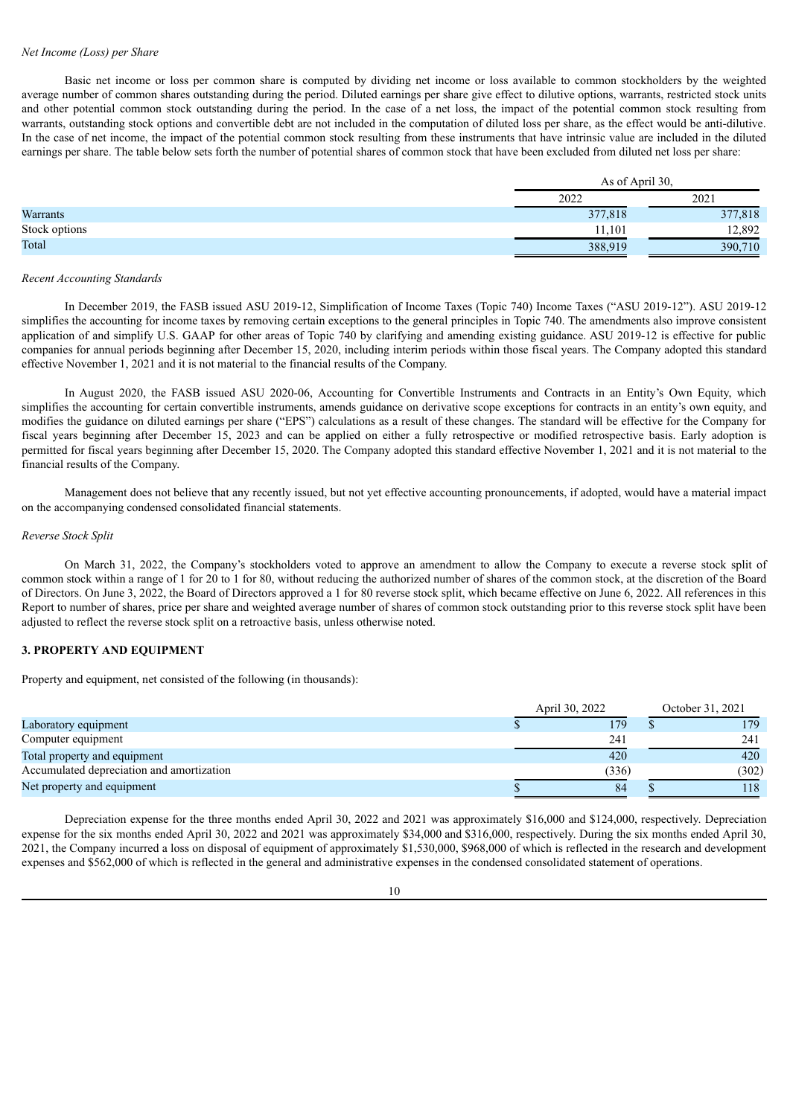## *Net Income (Loss) per Share*

Basic net income or loss per common share is computed by dividing net income or loss available to common stockholders by the weighted average number of common shares outstanding during the period. Diluted earnings per share give effect to dilutive options, warrants, restricted stock units and other potential common stock outstanding during the period. In the case of a net loss, the impact of the potential common stock resulting from warrants, outstanding stock options and convertible debt are not included in the computation of diluted loss per share, as the effect would be anti-dilutive. In the case of net income, the impact of the potential common stock resulting from these instruments that have intrinsic value are included in the diluted earnings per share. The table below sets forth the number of potential shares of common stock that have been excluded from diluted net loss per share:

|               | As of April 30, |         |
|---------------|-----------------|---------|
|               | 2022            | 2021    |
| Warrants      | 377,818         | 377,818 |
| Stock options | 11,101          | 12,892  |
| Total         | 388,919         | 390,710 |

#### *Recent Accounting Standards*

In December 2019, the FASB issued ASU 2019-12, Simplification of Income Taxes (Topic 740) Income Taxes ("ASU 2019-12"). ASU 2019-12 simplifies the accounting for income taxes by removing certain exceptions to the general principles in Topic 740. The amendments also improve consistent application of and simplify U.S. GAAP for other areas of Topic 740 by clarifying and amending existing guidance. ASU 2019-12 is effective for public companies for annual periods beginning after December 15, 2020, including interim periods within those fiscal years. The Company adopted this standard effective November 1, 2021 and it is not material to the financial results of the Company.

In August 2020, the FASB issued ASU 2020-06, Accounting for Convertible Instruments and Contracts in an Entity's Own Equity, which simplifies the accounting for certain convertible instruments, amends guidance on derivative scope exceptions for contracts in an entity's own equity, and modifies the guidance on diluted earnings per share ("EPS") calculations as a result of these changes. The standard will be effective for the Company for fiscal years beginning after December 15, 2023 and can be applied on either a fully retrospective or modified retrospective basis. Early adoption is permitted for fiscal years beginning after December 15, 2020. The Company adopted this standard effective November 1, 2021 and it is not material to the financial results of the Company.

Management does not believe that any recently issued, but not yet effective accounting pronouncements, if adopted, would have a material impact on the accompanying condensed consolidated financial statements.

#### *Reverse Stock Split*

On March 31, 2022, the Company's stockholders voted to approve an amendment to allow the Company to execute a reverse stock split of common stock within a range of 1 for 20 to 1 for 80, without reducing the authorized number of shares of the common stock, at the discretion of the Board of Directors. On June 3, 2022, the Board of Directors approved a 1 for 80 reverse stock split, which became effective on June 6, 2022. All references in this Report to number of shares, price per share and weighted average number of shares of common stock outstanding prior to this reverse stock split have been adjusted to reflect the reverse stock split on a retroactive basis, unless otherwise noted.

#### **3. PROPERTY AND EQUIPMENT**

Property and equipment, net consisted of the following (in thousands):

|                                           |  | April 30, 2022 | October 31, 2021 |       |
|-------------------------------------------|--|----------------|------------------|-------|
| Laboratory equipment                      |  | 179            |                  | 179   |
| Computer equipment                        |  | 241            |                  | 241   |
| Total property and equipment              |  | 420            |                  | 420   |
| Accumulated depreciation and amortization |  | (336)          |                  | (302) |
| Net property and equipment                |  | 84             |                  | 118   |

Depreciation expense for the three months ended April 30, 2022 and 2021 was approximately \$16,000 and \$124,000, respectively. Depreciation expense for the six months ended April 30, 2022 and 2021 was approximately \$34,000 and \$316,000, respectively. During the six months ended April 30, 2021, the Company incurred a loss on disposal of equipment of approximately \$1,530,000, \$968,000 of which is reflected in the research and development expenses and \$562,000 of which is reflected in the general and administrative expenses in the condensed consolidated statement of operations.

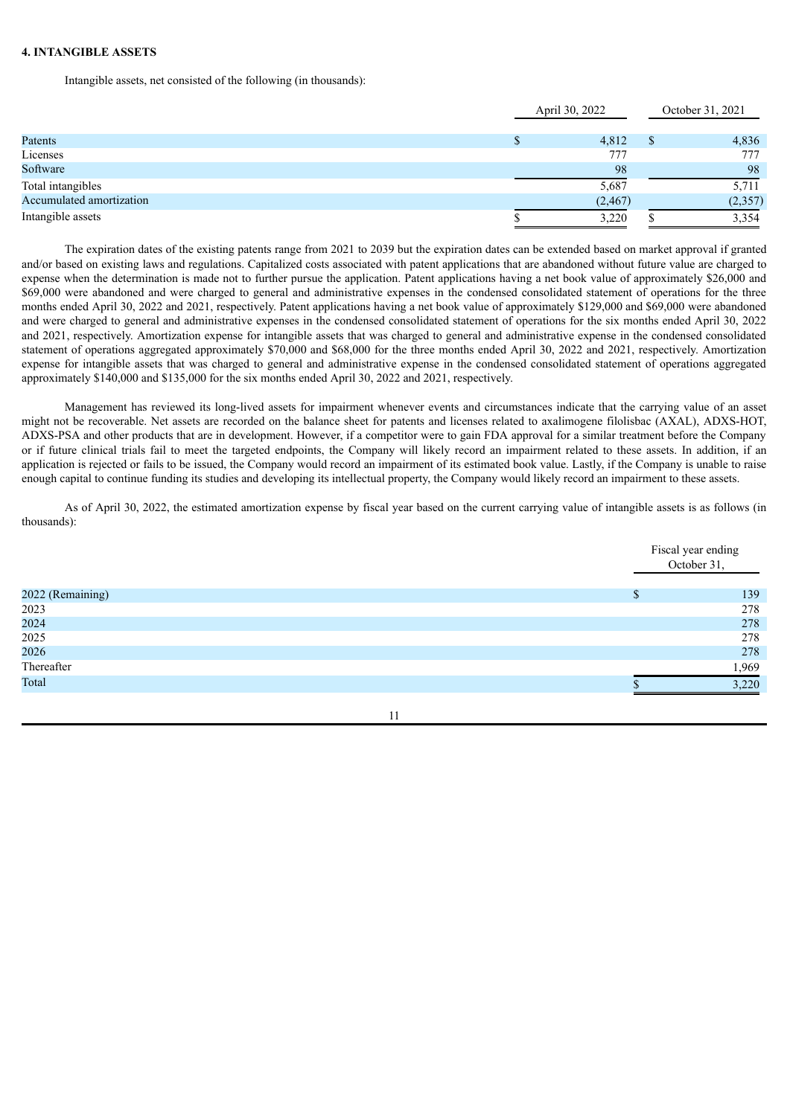# **4. INTANGIBLE ASSETS**

Intangible assets, net consisted of the following (in thousands):

|                          | April 30, 2022 |  | October 31, 2021 |
|--------------------------|----------------|--|------------------|
|                          |                |  |                  |
| Patents                  | 4,812          |  | 4,836            |
| Licenses                 | 777            |  | 777              |
| Software                 | 98             |  | 98               |
| Total intangibles        | 5,687          |  | 5,711            |
| Accumulated amortization | (2, 467)       |  | (2, 357)         |
| Intangible assets        | 3,220          |  | 3,354            |

The expiration dates of the existing patents range from 2021 to 2039 but the expiration dates can be extended based on market approval if granted and/or based on existing laws and regulations. Capitalized costs associated with patent applications that are abandoned without future value are charged to expense when the determination is made not to further pursue the application. Patent applications having a net book value of approximately \$26,000 and \$69,000 were abandoned and were charged to general and administrative expenses in the condensed consolidated statement of operations for the three months ended April 30, 2022 and 2021, respectively. Patent applications having a net book value of approximately \$129,000 and \$69,000 were abandoned and were charged to general and administrative expenses in the condensed consolidated statement of operations for the six months ended April 30, 2022 and 2021, respectively. Amortization expense for intangible assets that was charged to general and administrative expense in the condensed consolidated statement of operations aggregated approximately \$70,000 and \$68,000 for the three months ended April 30, 2022 and 2021, respectively. Amortization expense for intangible assets that was charged to general and administrative expense in the condensed consolidated statement of operations aggregated approximately \$140,000 and \$135,000 for the six months ended April 30, 2022 and 2021, respectively.

Management has reviewed its long-lived assets for impairment whenever events and circumstances indicate that the carrying value of an asset might not be recoverable. Net assets are recorded on the balance sheet for patents and licenses related to axalimogene filolisbac (AXAL), ADXS-HOT, ADXS-PSA and other products that are in development. However, if a competitor were to gain FDA approval for a similar treatment before the Company or if future clinical trials fail to meet the targeted endpoints, the Company will likely record an impairment related to these assets. In addition, if an application is rejected or fails to be issued, the Company would record an impairment of its estimated book value. Lastly, if the Company is unable to raise enough capital to continue funding its studies and developing its intellectual property, the Company would likely record an impairment to these assets.

As of April 30, 2022, the estimated amortization expense by fiscal year based on the current carrying value of intangible assets is as follows (in thousands):

|                  | Fiscal year ending<br>October 31, |
|------------------|-----------------------------------|
| 2022 (Remaining) | 139                               |
| 2023             | 278                               |
| 2024             | 278                               |
| 2025             | 278                               |
| 2026             | 278                               |
| Thereafter       | 1,969                             |
| Total            | 3,220                             |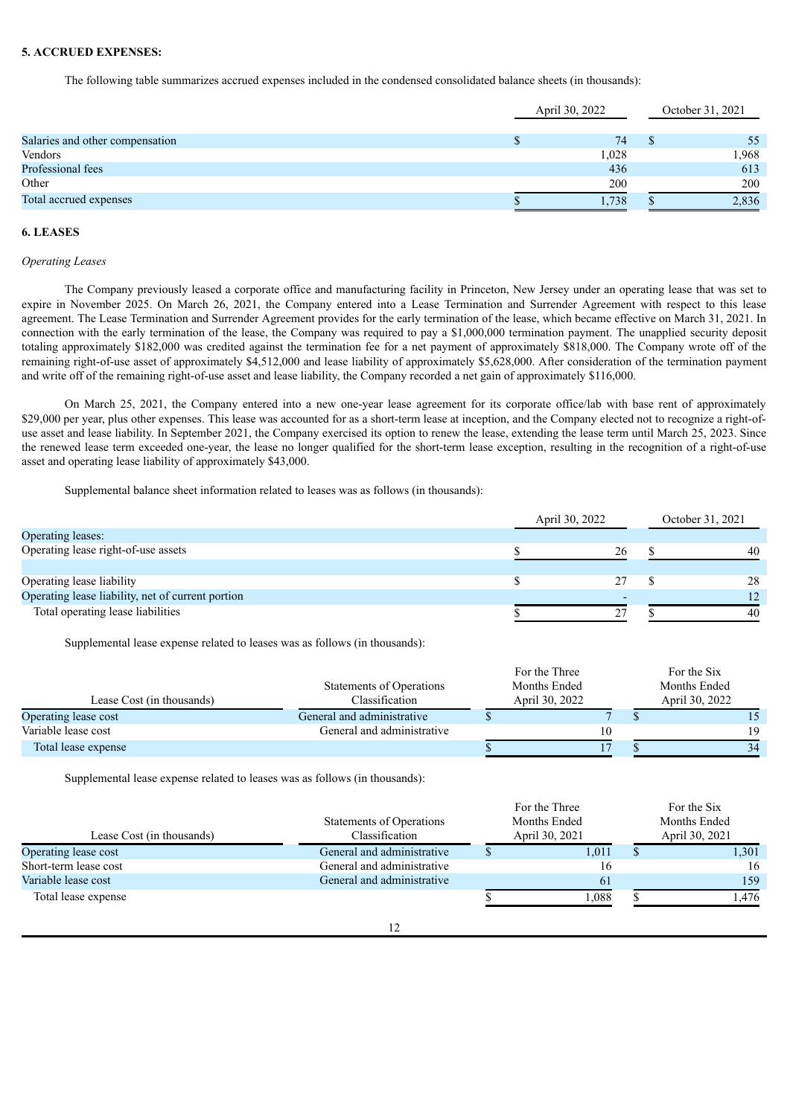# **5. ACCRUED EXPENSES:**

The following table summarizes accrued expenses included in the condensed consolidated balance sheets (in thousands):

| April 30, 2022 |    | October 31, 2021 |
|----------------|----|------------------|
|                |    |                  |
|                |    | 55               |
| 1,028          |    | 1,968            |
| 436            |    | 613              |
| 200            |    | 200              |
| 1,738          |    | 2,836            |
|                | 74 |                  |

# **6. LEASES**

#### *Operating Leases*

The Company previously leased a corporate office and manufacturing facility in Princeton, New Jersey under an operating lease that was set to expire in November 2025. On March 26, 2021, the Company entered into a Lease Termination and Surrender Agreement with respect to this lease agreement. The Lease Termination and Surrender Agreement provides for the early termination of the lease, which became effective on March 31, 2021. In connection with the early termination of the lease, the Company was required to pay a \$1,000,000 termination payment. The unapplied security deposit totaling approximately \$182,000 was credited against the termination fee for a net payment of approximately \$818,000. The Company wrote off of the remaining right-of-use asset of approximately \$4,512,000 and lease liability of approximately \$5,628,000. After consideration of the termination payment and write off of the remaining right-of-use asset and lease liability, the Company recorded a net gain of approximately \$116,000.

On March 25, 2021, the Company entered into a new one-year lease agreement for its corporate office/lab with base rent of approximately \$29,000 per year, plus other expenses. This lease was accounted for as a short-term lease at inception, and the Company elected not to recognize a right-ofuse asset and lease liability. In September 2021, the Company exercised its option to renew the lease, extending the lease term until March 25, 2023. Since the renewed lease term exceeded one-year, the lease no longer qualified for the short-term lease exception, resulting in the recognition of a right-of-use asset and operating lease liability of approximately \$43,000.

Supplemental balance sheet information related to leases was as follows (in thousands):

|                                                   |  | April 30, 2022 | October 31, 2021 |  |
|---------------------------------------------------|--|----------------|------------------|--|
| Operating leases:                                 |  |                |                  |  |
| Operating lease right-of-use assets               |  | 26             | 40               |  |
|                                                   |  |                |                  |  |
| Operating lease liability                         |  |                | 28               |  |
| Operating lease liability, net of current portion |  |                | 12 <sup>1</sup>  |  |
| Total operating lease liabilities                 |  |                | 40               |  |

Supplemental lease expense related to leases was as follows (in thousands):

|                           |                            |              | For the Three  | For the Six    |
|---------------------------|----------------------------|--------------|----------------|----------------|
|                           | Statements of Operations   | Months Ended |                | Months Ended   |
| Lease Cost (in thousands) | Classification             |              | April 30, 2022 | April 30, 2022 |
| Operating lease cost      | General and administrative |              |                |                |
| Variable lease cost       | General and administrative |              | 10             | 19             |
| Total lease expense       |                            |              |                | 34             |

Supplemental lease expense related to leases was as follows (in thousands):

|                           |                                 |              | For the Three  |                | For the Six  |  |
|---------------------------|---------------------------------|--------------|----------------|----------------|--------------|--|
|                           | <b>Statements of Operations</b> | Months Ended |                |                | Months Ended |  |
| Lease Cost (in thousands) | Classification                  |              | April 30, 2021 | April 30, 2021 |              |  |
| Operating lease cost      | General and administrative      |              | 1,011          |                | 1.301        |  |
| Short-term lease cost     | General and administrative      |              | 16             |                | 16           |  |
| Variable lease cost       | General and administrative      |              | 61             |                | 159          |  |
| Total lease expense       |                                 |              | .088           |                | .476         |  |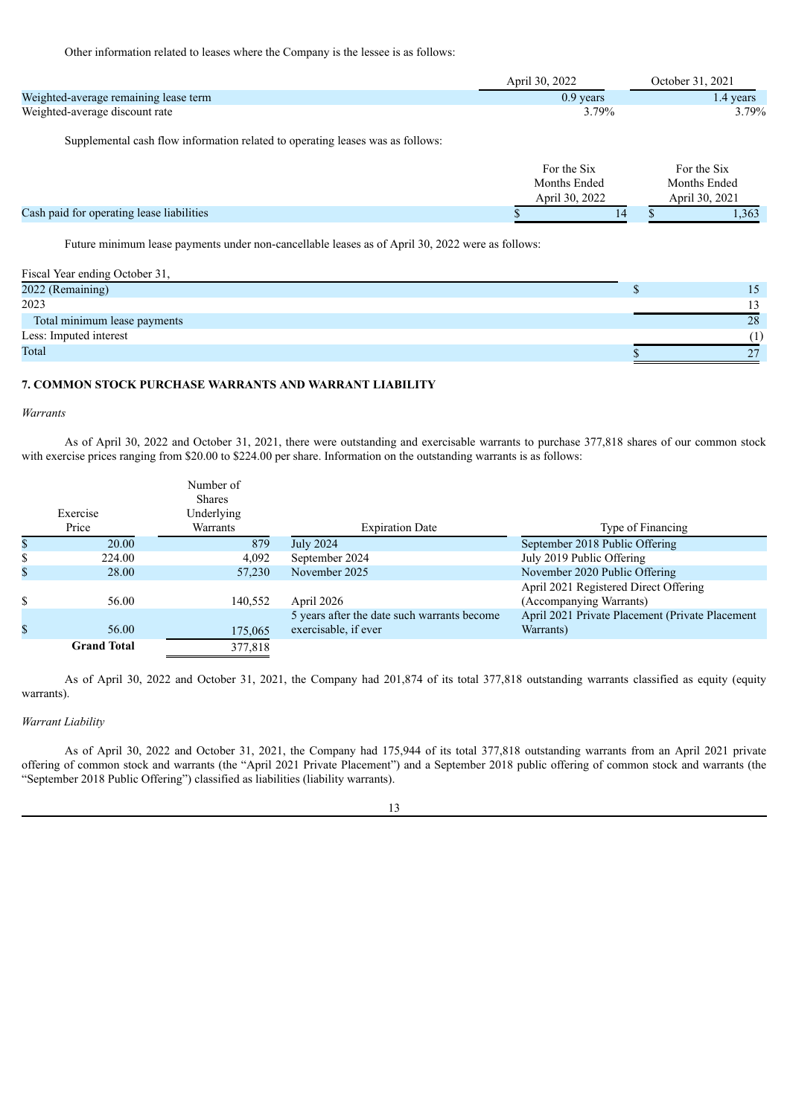Other information related to leases where the Company is the lessee is as follows:

|                                       | April 30, 2022 | October 31, 2021 |
|---------------------------------------|----------------|------------------|
| Weighted-average remaining lease term | $0.9$ years    | .4 years         |
| Weighted-average discount rate        | $3.79\%$       | $3.79\%$         |

Supplemental cash flow information related to operating leases was as follows:

|                                           | For the Six    | For the Six    |  |  |  |
|-------------------------------------------|----------------|----------------|--|--|--|
|                                           | Months Ended   | Months Ended   |  |  |  |
|                                           | April 30, 2022 | April 30, 2021 |  |  |  |
| Cash paid for operating lease liabilities | 14             | .363           |  |  |  |

Future minimum lease payments under non-cancellable leases as of April 30, 2022 were as follows:

| Fiscal Year ending October 31, |    |
|--------------------------------|----|
| 2022 (Remaining)               |    |
| 2023                           |    |
| Total minimum lease payments   | 28 |
| Less: Imputed interest         |    |
| Total                          |    |

# **7. COMMON STOCK PURCHASE WARRANTS AND WARRANT LIABILITY**

## *Warrants*

As of April 30, 2022 and October 31, 2021, there were outstanding and exercisable warrants to purchase 377,818 shares of our common stock with exercise prices ranging from \$20.00 to \$224.00 per share. Information on the outstanding warrants is as follows:

| Exercise<br>Price  | Number of<br><b>Shares</b><br>Underlying<br>Warrants | <b>Expiration Date</b>                      | Type of Financing                               |
|--------------------|------------------------------------------------------|---------------------------------------------|-------------------------------------------------|
|                    |                                                      |                                             |                                                 |
| \$<br>20.00        | 879                                                  | <b>July 2024</b>                            | September 2018 Public Offering                  |
| \$<br>224.00       | 4,092                                                | September 2024                              | July 2019 Public Offering                       |
| \$<br>28.00        | 57,230                                               | November 2025                               | November 2020 Public Offering                   |
|                    |                                                      |                                             | April 2021 Registered Direct Offering           |
| \$<br>56.00        | 140,552                                              | April 2026                                  | (Accompanying Warrants)                         |
|                    |                                                      | 5 years after the date such warrants become | April 2021 Private Placement (Private Placement |
| \$<br>56.00        | 175,065                                              | exercisable, if ever                        | Warrants)                                       |
| <b>Grand Total</b> | 377,818                                              |                                             |                                                 |

As of April 30, 2022 and October 31, 2021, the Company had 201,874 of its total 377,818 outstanding warrants classified as equity (equity warrants).

# *Warrant Liability*

As of April 30, 2022 and October 31, 2021, the Company had 175,944 of its total 377,818 outstanding warrants from an April 2021 private offering of common stock and warrants (the "April 2021 Private Placement") and a September 2018 public offering of common stock and warrants (the "September 2018 Public Offering") classified as liabilities (liability warrants).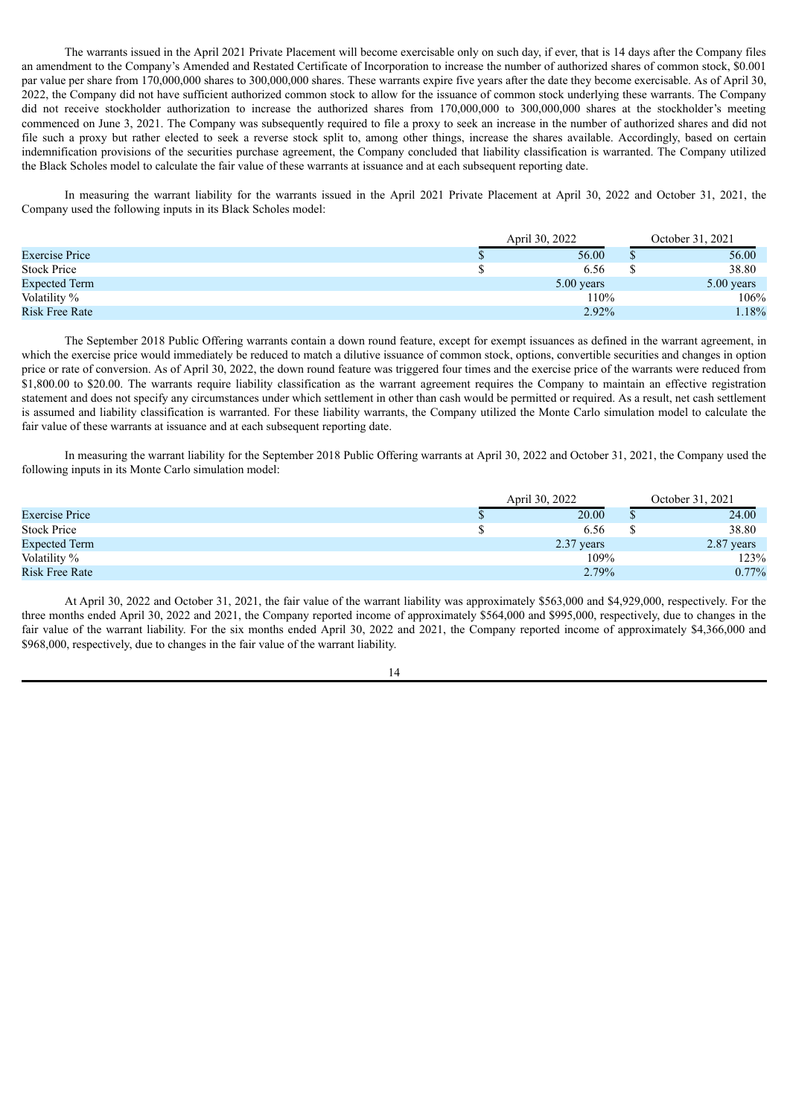The warrants issued in the April 2021 Private Placement will become exercisable only on such day, if ever, that is 14 days after the Company files an amendment to the Company's Amended and Restated Certificate of Incorporation to increase the number of authorized shares of common stock, \$0.001 par value per share from 170,000,000 shares to 300,000,000 shares. These warrants expire five years after the date they become exercisable. As of April 30, 2022, the Company did not have sufficient authorized common stock to allow for the issuance of common stock underlying these warrants. The Company did not receive stockholder authorization to increase the authorized shares from 170,000,000 to 300,000,000 shares at the stockholder's meeting commenced on June 3, 2021. The Company was subsequently required to file a proxy to seek an increase in the number of authorized shares and did not file such a proxy but rather elected to seek a reverse stock split to, among other things, increase the shares available. Accordingly, based on certain indemnification provisions of the securities purchase agreement, the Company concluded that liability classification is warranted. The Company utilized the Black Scholes model to calculate the fair value of these warrants at issuance and at each subsequent reporting date.

In measuring the warrant liability for the warrants issued in the April 2021 Private Placement at April 30, 2022 and October 31, 2021, the Company used the following inputs in its Black Scholes model:

|                       | April 30, 2022 | October 31, 2021 |              |  |  |
|-----------------------|----------------|------------------|--------------|--|--|
| <b>Exercise Price</b> | 56.00          |                  | 56.00        |  |  |
| <b>Stock Price</b>    | 6.56           |                  | 38.80        |  |  |
| <b>Expected Term</b>  | $5.00$ years   |                  | $5.00$ years |  |  |
| Volatility %          | 110%           |                  | 106%         |  |  |
| <b>Risk Free Rate</b> | 2.92%          |                  | .18%         |  |  |

The September 2018 Public Offering warrants contain a down round feature, except for exempt issuances as defined in the warrant agreement, in which the exercise price would immediately be reduced to match a dilutive issuance of common stock, options, convertible securities and changes in option price or rate of conversion. As of April 30, 2022, the down round feature was triggered four times and the exercise price of the warrants were reduced from \$1,800.00 to \$20.00. The warrants require liability classification as the warrant agreement requires the Company to maintain an effective registration statement and does not specify any circumstances under which settlement in other than cash would be permitted or required. As a result, net cash settlement is assumed and liability classification is warranted. For these liability warrants, the Company utilized the Monte Carlo simulation model to calculate the fair value of these warrants at issuance and at each subsequent reporting date.

In measuring the warrant liability for the September 2018 Public Offering warrants at April 30, 2022 and October 31, 2021, the Company used the following inputs in its Monte Carlo simulation model:

|                       | April 30, 2022 | October 31, 2021 |
|-----------------------|----------------|------------------|
| <b>Exercise Price</b> | 20.00          | 24.00            |
| <b>Stock Price</b>    | 6.56           | 38.80            |
| <b>Expected Term</b>  | 2.37 years     | 2.87 years       |
| Volatility %          | 109%           | 123%             |
| <b>Risk Free Rate</b> | 2.79%          | $0.77\%$         |

At April 30, 2022 and October 31, 2021, the fair value of the warrant liability was approximately \$563,000 and \$4,929,000, respectively. For the three months ended April 30, 2022 and 2021, the Company reported income of approximately \$564,000 and \$995,000, respectively, due to changes in the fair value of the warrant liability. For the six months ended April 30, 2022 and 2021, the Company reported income of approximately \$4,366,000 and \$968,000, respectively, due to changes in the fair value of the warrant liability.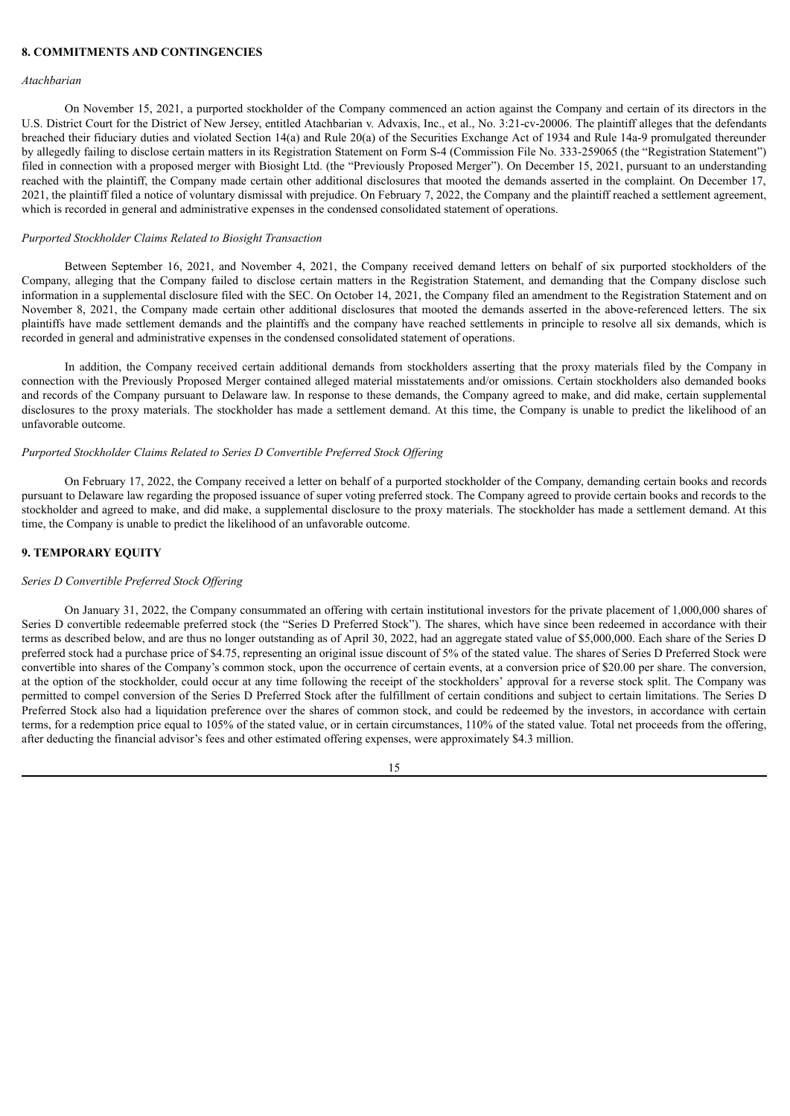#### **8. COMMITMENTS AND CONTINGENCIES**

#### *Atachbarian*

On November 15, 2021, a purported stockholder of the Company commenced an action against the Company and certain of its directors in the U.S. District Court for the District of New Jersey, entitled Atachbarian v. Advaxis, Inc., et al., No. 3:21-cv-20006. The plaintiff alleges that the defendants breached their fiduciary duties and violated Section 14(a) and Rule 20(a) of the Securities Exchange Act of 1934 and Rule 14a-9 promulgated thereunder by allegedly failing to disclose certain matters in its Registration Statement on Form S-4 (Commission File No. 333-259065 (the "Registration Statement") filed in connection with a proposed merger with Biosight Ltd. (the "Previously Proposed Merger"). On December 15, 2021, pursuant to an understanding reached with the plaintiff, the Company made certain other additional disclosures that mooted the demands asserted in the complaint. On December 17, 2021, the plaintiff filed a notice of voluntary dismissal with prejudice. On February 7, 2022, the Company and the plaintiff reached a settlement agreement, which is recorded in general and administrative expenses in the condensed consolidated statement of operations.

### *Purported Stockholder Claims Related to Biosight Transaction*

Between September 16, 2021, and November 4, 2021, the Company received demand letters on behalf of six purported stockholders of the Company, alleging that the Company failed to disclose certain matters in the Registration Statement, and demanding that the Company disclose such information in a supplemental disclosure filed with the SEC. On October 14, 2021, the Company filed an amendment to the Registration Statement and on November 8, 2021, the Company made certain other additional disclosures that mooted the demands asserted in the above-referenced letters. The six plaintiffs have made settlement demands and the plaintiffs and the company have reached settlements in principle to resolve all six demands, which is recorded in general and administrative expenses in the condensed consolidated statement of operations.

In addition, the Company received certain additional demands from stockholders asserting that the proxy materials filed by the Company in connection with the Previously Proposed Merger contained alleged material misstatements and/or omissions. Certain stockholders also demanded books and records of the Company pursuant to Delaware law. In response to these demands, the Company agreed to make, and did make, certain supplemental disclosures to the proxy materials. The stockholder has made a settlement demand. At this time, the Company is unable to predict the likelihood of an unfavorable outcome.

#### *Purported Stockholder Claims Related to Series D Convertible Preferred Stock Of ering*

On February 17, 2022, the Company received a letter on behalf of a purported stockholder of the Company, demanding certain books and records pursuant to Delaware law regarding the proposed issuance of super voting preferred stock. The Company agreed to provide certain books and records to the stockholder and agreed to make, and did make, a supplemental disclosure to the proxy materials. The stockholder has made a settlement demand. At this time, the Company is unable to predict the likelihood of an unfavorable outcome.

# **9. TEMPORARY EQUITY**

#### *Series D Convertible Preferred Stock Of ering*

On January 31, 2022, the Company consummated an offering with certain institutional investors for the private placement of 1,000,000 shares of Series D convertible redeemable preferred stock (the "Series D Preferred Stock"). The shares, which have since been redeemed in accordance with their terms as described below, and are thus no longer outstanding as of April 30, 2022, had an aggregate stated value of \$5,000,000. Each share of the Series D preferred stock had a purchase price of \$4.75, representing an original issue discount of 5% of the stated value. The shares of Series D Preferred Stock were convertible into shares of the Company's common stock, upon the occurrence of certain events, at a conversion price of \$20.00 per share. The conversion, at the option of the stockholder, could occur at any time following the receipt of the stockholders' approval for a reverse stock split. The Company was permitted to compel conversion of the Series D Preferred Stock after the fulfillment of certain conditions and subject to certain limitations. The Series D Preferred Stock also had a liquidation preference over the shares of common stock, and could be redeemed by the investors, in accordance with certain terms, for a redemption price equal to 105% of the stated value, or in certain circumstances, 110% of the stated value. Total net proceeds from the offering, after deducting the financial advisor's fees and other estimated offering expenses, were approximately \$4.3 million.

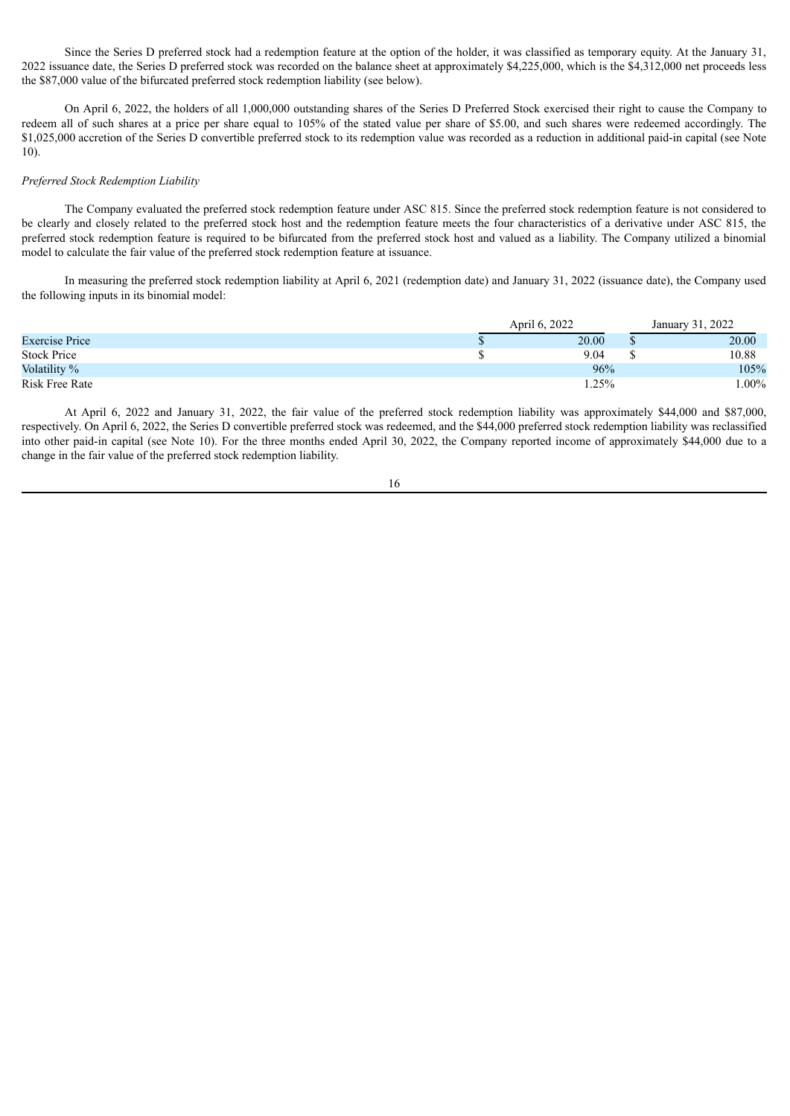Since the Series D preferred stock had a redemption feature at the option of the holder, it was classified as temporary equity. At the January 31, 2022 issuance date, the Series D preferred stock was recorded on the balance sheet at approximately \$4,225,000, which is the \$4,312,000 net proceeds less the \$87,000 value of the bifurcated preferred stock redemption liability (see below).

On April 6, 2022, the holders of all 1,000,000 outstanding shares of the Series D Preferred Stock exercised their right to cause the Company to redeem all of such shares at a price per share equal to 105% of the stated value per share of \$5.00, and such shares were redeemed accordingly. The \$1,025,000 accretion of the Series D convertible preferred stock to its redemption value was recorded as a reduction in additional paid-in capital (see Note 10).

#### *Preferred Stock Redemption Liability*

The Company evaluated the preferred stock redemption feature under ASC 815. Since the preferred stock redemption feature is not considered to be clearly and closely related to the preferred stock host and the redemption feature meets the four characteristics of a derivative under ASC 815, the preferred stock redemption feature is required to be bifurcated from the preferred stock host and valued as a liability. The Company utilized a binomial model to calculate the fair value of the preferred stock redemption feature at issuance.

In measuring the preferred stock redemption liability at April 6, 2021 (redemption date) and January 31, 2022 (issuance date), the Company used the following inputs in its binomial model:

|                       | April 6, 2022 | January 31, 2022 |         |  |  |
|-----------------------|---------------|------------------|---------|--|--|
| <b>Exercise Price</b> | 20.00         |                  | 20.00   |  |  |
| <b>Stock Price</b>    | 9.04          |                  | 10.88   |  |  |
| Volatility %          | 96%           |                  | 105%    |  |  |
| <b>Risk Free Rate</b> | .25%          |                  | $.00\%$ |  |  |

At April 6, 2022 and January 31, 2022, the fair value of the preferred stock redemption liability was approximately \$44,000 and \$87,000, respectively. On April 6, 2022, the Series D convertible preferred stock was redeemed, and the \$44,000 preferred stock redemption liability was reclassified into other paid-in capital (see Note 10). For the three months ended April 30, 2022, the Company reported income of approximately \$44,000 due to a change in the fair value of the preferred stock redemption liability.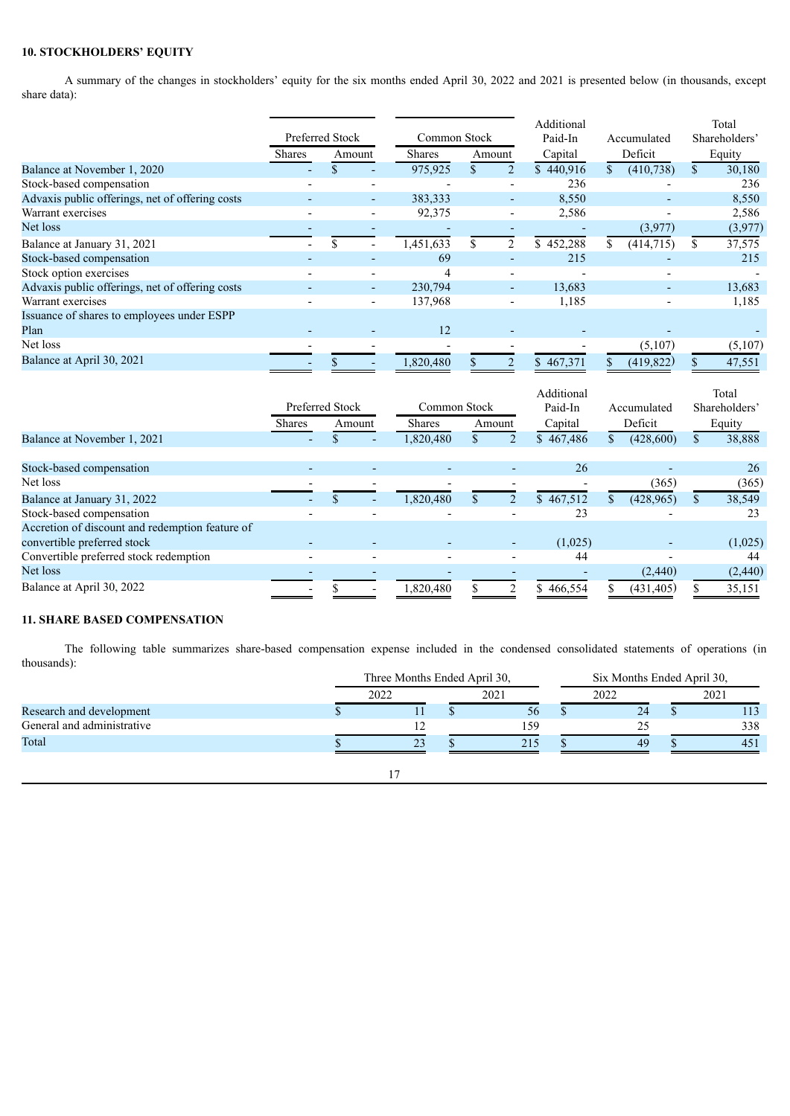# **10. STOCKHOLDERS' EQUITY**

A summary of the changes in stockholders' equity for the six months ended April 30, 2022 and 2021 is presented below (in thousands, except share data):

|                                                                                |                          |                        |               |                               | Additional              |                        | Total                  |               |                        |
|--------------------------------------------------------------------------------|--------------------------|------------------------|---------------|-------------------------------|-------------------------|------------------------|------------------------|---------------|------------------------|
|                                                                                |                          | Preferred Stock        | Common Stock  |                               |                         | Paid-In<br>Accumulated |                        |               | Shareholders'          |
|                                                                                | <b>Shares</b>            | Amount                 | <b>Shares</b> | Amount                        | Capital                 |                        | Deficit                |               | Equity                 |
| Balance at November 1, 2020                                                    |                          | $\mathbf{s}$           | 975,925       | $\mathbf{\hat{S}}$<br>2       | $\overline{$}$ 440,916  | $\mathbf{s}$           | (410, 738)             | $\mathcal{S}$ | 30,180                 |
| Stock-based compensation                                                       |                          |                        |               |                               | 236                     |                        |                        |               | 236                    |
| Advaxis public offerings, net of offering costs                                |                          | ٠                      | 383,333       | $\overline{\phantom{a}}$      | 8,550                   |                        |                        |               | 8,550                  |
| Warrant exercises                                                              |                          |                        | 92,375        |                               | 2,586                   |                        |                        |               | 2,586                  |
| Net loss                                                                       | $\overline{\phantom{0}}$ |                        |               | $\overline{\phantom{a}}$      |                         |                        | (3,977)                |               | (3,977)                |
| Balance at January 31, 2021                                                    |                          | \$                     | 1,451,633     | $\overline{2}$<br>\$          | $\overline{$}$ 452,288  | \$                     | $\overline{(414,715)}$ | \$            | 37,575                 |
| Stock-based compensation                                                       |                          |                        | 69            |                               | 215                     |                        |                        |               | 215                    |
| Stock option exercises                                                         |                          |                        | 4             |                               |                         |                        |                        |               |                        |
| Advaxis public offerings, net of offering costs                                |                          |                        | 230,794       |                               | 13,683                  |                        |                        |               | 13,683                 |
| Warrant exercises                                                              |                          |                        | 137,968       |                               | 1,185                   |                        |                        |               | 1,185                  |
| Issuance of shares to employees under ESPP<br>Plan                             |                          |                        | 12            |                               |                         |                        |                        |               |                        |
| Net loss                                                                       |                          |                        |               |                               |                         |                        | (5,107)                |               | (5,107)                |
| Balance at April 30, 2021                                                      |                          |                        | 1,820,480     | $\overline{2}$                | \$467,371               | S                      | (419, 822)             |               | 47,551                 |
|                                                                                |                          | <b>Preferred Stock</b> | Common Stock  |                               | Additional<br>Paid-In   |                        | Accumulated            |               | Total<br>Shareholders' |
|                                                                                | <b>Shares</b>            | Amount                 | <b>Shares</b> | Amount                        | Capital                 |                        | Deficit                |               | Equity                 |
| Balance at November 1, 2021                                                    |                          | \$                     | 1,820,480     | $\mathbf S$<br>$\overline{c}$ | $\overline{$}3,467,486$ | \$                     | (428,600)              | $\mathbb{S}$  | 38,888                 |
| Stock-based compensation                                                       |                          |                        |               |                               | 26                      |                        |                        |               | 26                     |
| Net loss                                                                       |                          |                        |               |                               |                         |                        | (365)                  |               | (365)                  |
| Balance at January 31, 2022                                                    |                          | \$                     | 1,820,480     | $\mathbf S$<br>$\overline{2}$ | \$467,512               | $\mathbb{S}$           | (428, 965)             | $\mathsf{\$}$ | 38,549                 |
| Stock-based compensation                                                       |                          |                        |               |                               | 23                      |                        |                        |               | 23                     |
| Accretion of discount and redemption feature of<br>convertible preferred stock |                          |                        |               |                               |                         |                        |                        |               |                        |
| Convertible preferred stock redemption                                         |                          |                        |               |                               | (1,025)<br>44           |                        |                        |               | (1,025)<br>44          |
| Net loss                                                                       |                          |                        |               |                               |                         |                        | (2, 440)               |               | (2, 440)               |

# **11. SHARE BASED COMPENSATION**

The following table summarizes share-based compensation expense included in the condensed consolidated statements of operations (in thousands):

Balance at April 30, 2022 5 1,820,480 5 2 \$ 466,554 \$ (431,405) \$ 35,151

|                            | Three Months Ended April 30, |  |      |  | Six Months Ended April 30, |  |      |  |  |
|----------------------------|------------------------------|--|------|--|----------------------------|--|------|--|--|
|                            | 2022                         |  | 2021 |  | 2022                       |  | 2021 |  |  |
| Research and development   |                              |  | эb   |  | 24                         |  |      |  |  |
| General and administrative | $\sim$                       |  | 159  |  | 25                         |  | 338  |  |  |
| Total                      | 23                           |  | 215  |  | 49                         |  | 45.  |  |  |
|                            |                              |  |      |  |                            |  |      |  |  |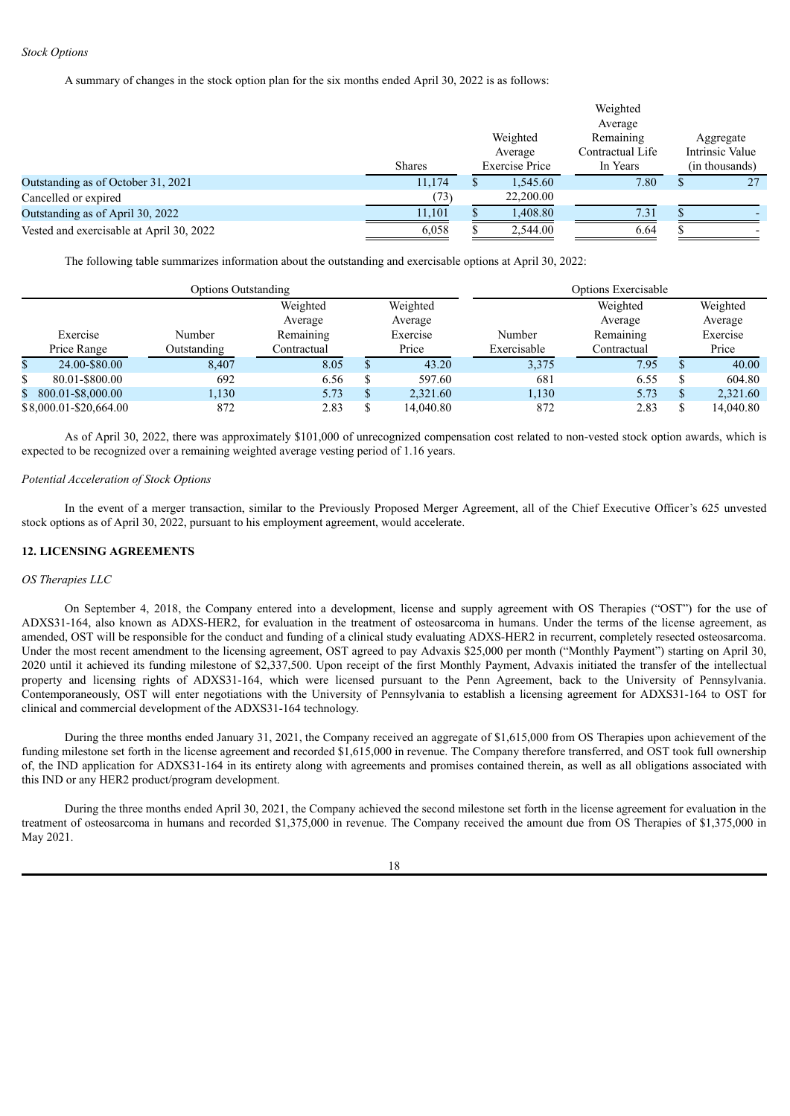A summary of changes in the stock option plan for the six months ended April 30, 2022 is as follows:

|                                          |               | Weighted<br>Average |                                              |  |                                           |                                                |    |  |
|------------------------------------------|---------------|---------------------|----------------------------------------------|--|-------------------------------------------|------------------------------------------------|----|--|
|                                          | <b>Shares</b> |                     | Weighted<br>Average<br><b>Exercise Price</b> |  | Remaining<br>Contractual Life<br>In Years | Aggregate<br>Intrinsic Value<br>(in thousands) |    |  |
| Outstanding as of October 31, 2021       | 11,174        |                     | 1,545.60                                     |  | 7.80                                      |                                                | 27 |  |
| Cancelled or expired                     | (73)          |                     | 22,200.00                                    |  |                                           |                                                |    |  |
| Outstanding as of April 30, 2022         | 11.101        |                     | 1,408.80                                     |  | 7.31                                      |                                                |    |  |
| Vested and exercisable at April 30, 2022 | 6,058         |                     | 2,544.00                                     |  | 6.64                                      |                                                |    |  |

The following table summarizes information about the outstanding and exercisable options at April 30, 2022:

|                        | <b>Options Outstanding</b> | Options Exercisable |          |           |             |             |  |           |
|------------------------|----------------------------|---------------------|----------|-----------|-------------|-------------|--|-----------|
|                        |                            | Weighted            | Weighted |           |             | Weighted    |  | Weighted  |
|                        |                            | Average             | Average  |           |             | Average     |  | Average   |
| Exercise               | Number                     | Remaining           | Exercise |           | Number      | Remaining   |  | Exercise  |
| Price Range            | Outstanding                | Contractual         | Price    |           | Exercisable | Contractual |  | Price     |
| \$<br>24.00-\$80.00    | 8.407                      | 8.05                |          | 43.20     | 3,375       | 7.95        |  | 40.00     |
| \$<br>80.01-\$800.00   | 692                        | 6.56                |          | 597.60    | 681         | 6.55        |  | 604.80    |
| $$800.01 - $8,000.00$  | 1.130                      | 5.73                |          | 2,321.60  | 1,130       | 5.73        |  | 2,321.60  |
| \$8,000.01-\$20,664.00 | 872                        | 2.83                |          | 14.040.80 | 872         | 2.83        |  | 14.040.80 |

As of April 30, 2022, there was approximately \$101,000 of unrecognized compensation cost related to non-vested stock option awards, which is expected to be recognized over a remaining weighted average vesting period of 1.16 years.

#### *Potential Acceleration of Stock Options*

In the event of a merger transaction, similar to the Previously Proposed Merger Agreement, all of the Chief Executive Officer's 625 unvested stock options as of April 30, 2022, pursuant to his employment agreement, would accelerate.

#### **12. LICENSING AGREEMENTS**

#### *OS Therapies LLC*

On September 4, 2018, the Company entered into a development, license and supply agreement with OS Therapies ("OST") for the use of ADXS31-164, also known as ADXS-HER2, for evaluation in the treatment of osteosarcoma in humans. Under the terms of the license agreement, as amended, OST will be responsible for the conduct and funding of a clinical study evaluating ADXS-HER2 in recurrent, completely resected osteosarcoma. Under the most recent amendment to the licensing agreement, OST agreed to pay Advaxis \$25,000 per month ("Monthly Payment") starting on April 30, 2020 until it achieved its funding milestone of \$2,337,500. Upon receipt of the first Monthly Payment, Advaxis initiated the transfer of the intellectual property and licensing rights of ADXS31-164, which were licensed pursuant to the Penn Agreement, back to the University of Pennsylvania. Contemporaneously, OST will enter negotiations with the University of Pennsylvania to establish a licensing agreement for ADXS31-164 to OST for clinical and commercial development of the ADXS31-164 technology.

During the three months ended January 31, 2021, the Company received an aggregate of \$1,615,000 from OS Therapies upon achievement of the funding milestone set forth in the license agreement and recorded \$1,615,000 in revenue. The Company therefore transferred, and OST took full ownership of, the IND application for ADXS31-164 in its entirety along with agreements and promises contained therein, as well as all obligations associated with this IND or any HER2 product/program development.

During the three months ended April 30, 2021, the Company achieved the second milestone set forth in the license agreement for evaluation in the treatment of osteosarcoma in humans and recorded \$1,375,000 in revenue. The Company received the amount due from OS Therapies of \$1,375,000 in May 2021.

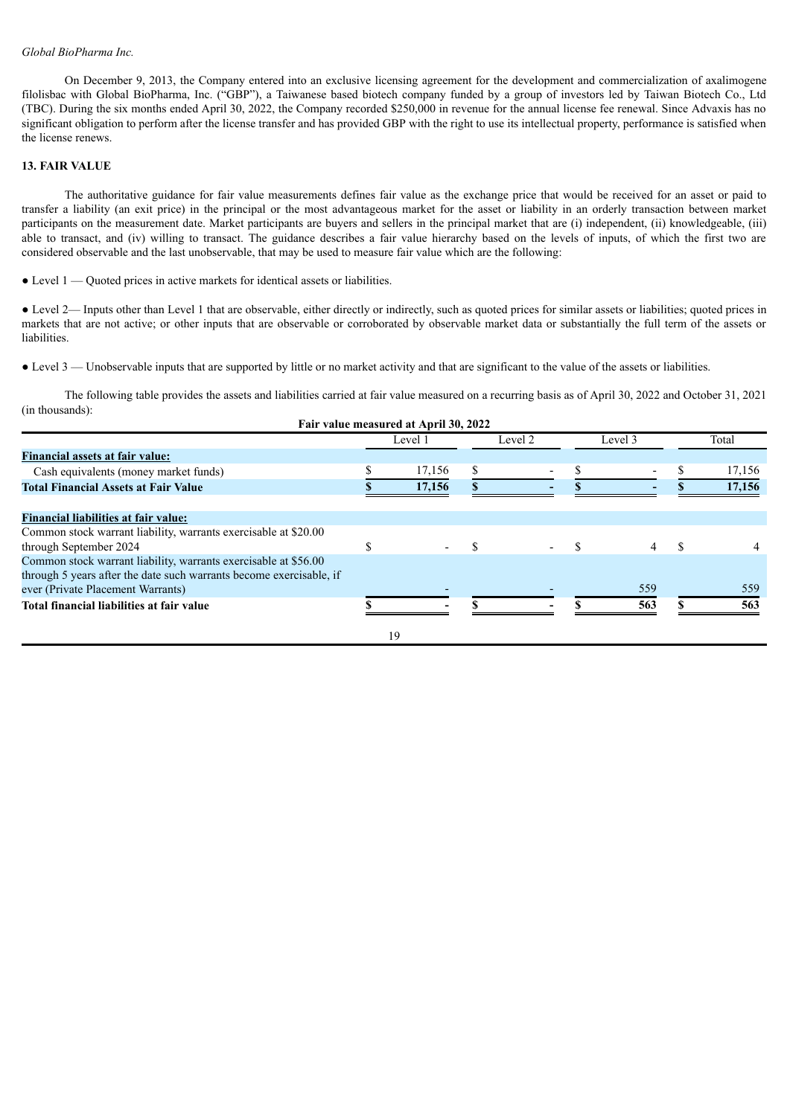# *Global BioPharma Inc.*

On December 9, 2013, the Company entered into an exclusive licensing agreement for the development and commercialization of axalimogene filolisbac with Global BioPharma, Inc. ("GBP"), a Taiwanese based biotech company funded by a group of investors led by Taiwan Biotech Co., Ltd (TBC). During the six months ended April 30, 2022, the Company recorded \$250,000 in revenue for the annual license fee renewal. Since Advaxis has no significant obligation to perform after the license transfer and has provided GBP with the right to use its intellectual property, performance is satisfied when the license renews.

# **13. FAIR VALUE**

The authoritative guidance for fair value measurements defines fair value as the exchange price that would be received for an asset or paid to transfer a liability (an exit price) in the principal or the most advantageous market for the asset or liability in an orderly transaction between market participants on the measurement date. Market participants are buyers and sellers in the principal market that are (i) independent, (ii) knowledgeable, (iii) able to transact, and (iv) willing to transact. The guidance describes a fair value hierarchy based on the levels of inputs, of which the first two are considered observable and the last unobservable, that may be used to measure fair value which are the following:

● Level 1 — Quoted prices in active markets for identical assets or liabilities.

• Level 2— Inputs other than Level 1 that are observable, either directly or indirectly, such as quoted prices for similar assets or liabilities; quoted prices in markets that are not active; or other inputs that are observable or corroborated by observable market data or substantially the full term of the assets or liabilities.

● Level 3 — Unobservable inputs that are supported by little or no market activity and that are significant to the value of the assets or liabilities.

The following table provides the assets and liabilities carried at fair value measured on a recurring basis as of April 30, 2022 and October 31, 2021 (in thousands): **Fair value measured at April 30, 2022**

|                                                                                                                                        |         | <b>Fair value measured at April 50, 2022</b> |         |                          |         |     |        |
|----------------------------------------------------------------------------------------------------------------------------------------|---------|----------------------------------------------|---------|--------------------------|---------|-----|--------|
|                                                                                                                                        | Level 1 |                                              | Level 2 |                          | Level 3 |     | Total  |
| <b>Financial assets at fair value:</b>                                                                                                 |         |                                              |         |                          |         |     |        |
| Cash equivalents (money market funds)                                                                                                  |         | 17,156                                       |         | $\overline{\phantom{0}}$ |         |     | 17,156 |
| <b>Total Financial Assets at Fair Value</b>                                                                                            |         | 17.156                                       |         |                          |         |     | 17,156 |
| <b>Financial liabilities at fair value:</b>                                                                                            |         |                                              |         |                          |         |     |        |
| Common stock warrant liability, warrants exercisable at \$20.00                                                                        |         |                                              |         |                          |         |     |        |
| through September 2024                                                                                                                 |         |                                              |         |                          |         | 4   |        |
| Common stock warrant liability, warrants exercisable at \$56.00<br>through 5 years after the date such warrants become exercisable, if |         |                                              |         |                          |         |     |        |
| ever (Private Placement Warrants)                                                                                                      |         |                                              |         |                          |         | 559 | 559    |
| Total financial liabilities at fair value                                                                                              |         |                                              |         |                          |         | 563 | 563    |
|                                                                                                                                        |         | 19                                           |         |                          |         |     |        |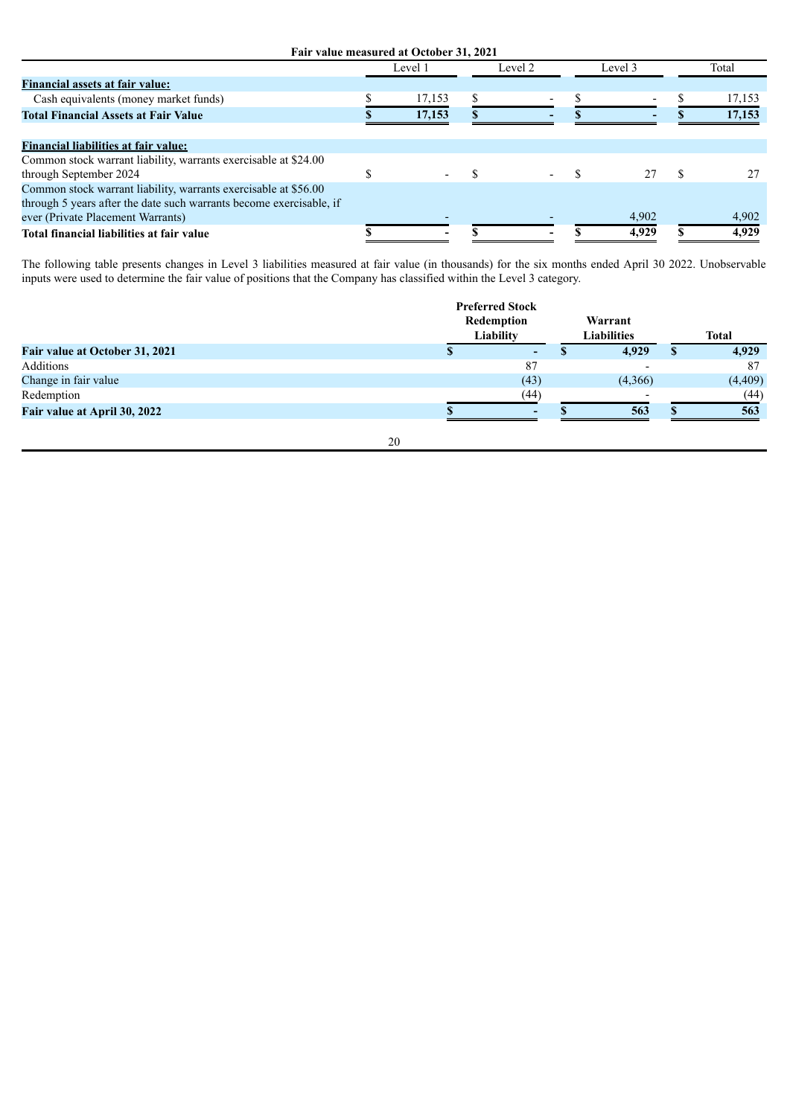|                                                                     |         | Fair value measured at October 31, 2021 |         |                          |         |       |        |
|---------------------------------------------------------------------|---------|-----------------------------------------|---------|--------------------------|---------|-------|--------|
|                                                                     | Level 1 |                                         | Level 2 |                          | Level 3 | Total |        |
| <b>Financial assets at fair value:</b>                              |         |                                         |         |                          |         |       |        |
| Cash equivalents (money market funds)                               |         | 17,153                                  |         | $\overline{\phantom{a}}$ |         |       | 17,153 |
| <b>Total Financial Assets at Fair Value</b>                         |         | 17,153                                  |         |                          |         |       | 17,153 |
|                                                                     |         |                                         |         |                          |         |       |        |
| <b>Financial liabilities at fair value:</b>                         |         |                                         |         |                          |         |       |        |
| Common stock warrant liability, warrants exercisable at \$24.00     |         |                                         |         |                          |         |       |        |
| through September 2024                                              |         |                                         |         |                          | 27      | \$.   | 27     |
| Common stock warrant liability, warrants exercisable at \$56.00     |         |                                         |         |                          |         |       |        |
| through 5 years after the date such warrants become exercisable, if |         |                                         |         |                          |         |       |        |
| ever (Private Placement Warrants)                                   |         |                                         |         |                          | 4,902   |       | 4,902  |
| Total financial liabilities at fair value                           |         | $\overline{\phantom{0}}$                |         | -                        | 4.929   |       | 4.929  |

The following table presents changes in Level 3 liabilities measured at fair value (in thousands) for the six months ended April 30 2022. Unobservable inputs were used to determine the fair value of positions that the Company has classified within the Level 3 category.

|                                |           | <b>Preferred Stock</b><br>Redemption<br>Warrant |    |                    |  |              |  |
|--------------------------------|-----------|-------------------------------------------------|----|--------------------|--|--------------|--|
|                                | Liability |                                                 |    | <b>Liabilities</b> |  | <b>Total</b> |  |
| Fair value at October 31, 2021 |           | $\overline{\phantom{0}}$                        | ٠D | 4,929              |  | 4,929        |  |
| Additions                      |           | 87                                              |    |                    |  | 87           |  |
| Change in fair value           |           | (43)                                            |    | (4,366)            |  | (4, 409)     |  |
| Redemption                     |           | (44)                                            |    |                    |  | (44)         |  |
| Fair value at April 30, 2022   |           |                                                 |    | 563                |  | 563          |  |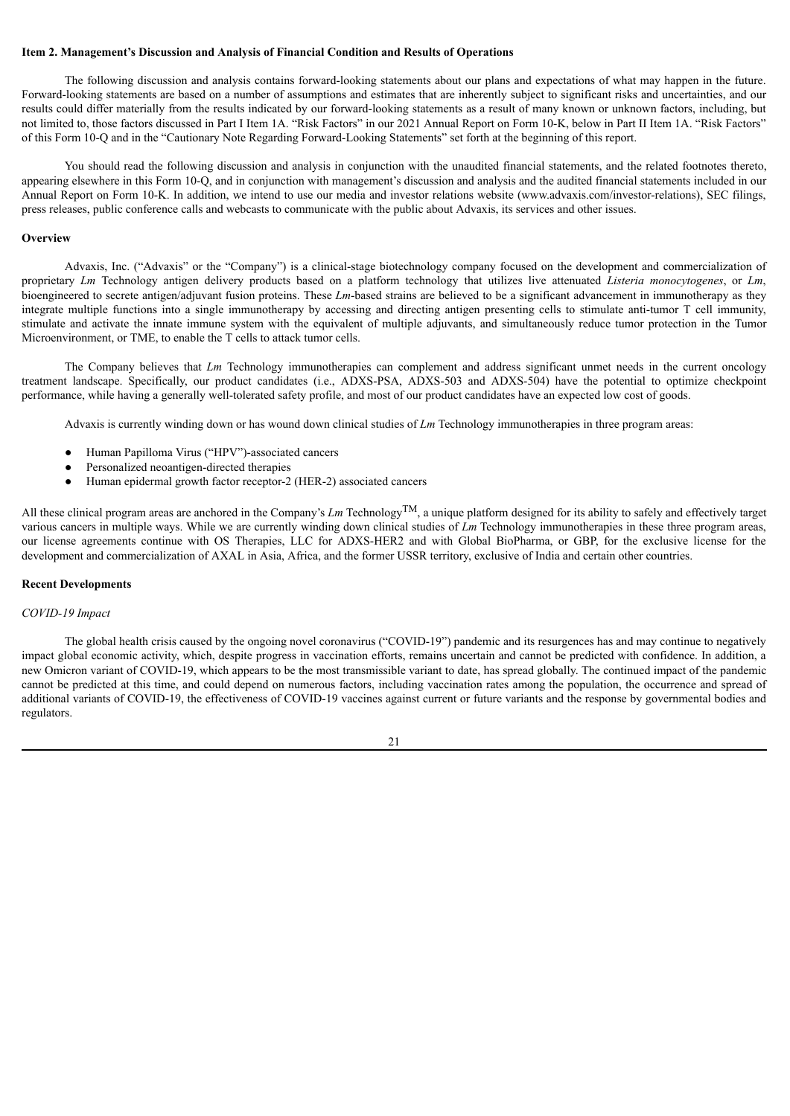# <span id="page-20-0"></span>**Item 2. Management's Discussion and Analysis of Financial Condition and Results of Operations**

The following discussion and analysis contains forward-looking statements about our plans and expectations of what may happen in the future. Forward-looking statements are based on a number of assumptions and estimates that are inherently subject to significant risks and uncertainties, and our results could differ materially from the results indicated by our forward-looking statements as a result of many known or unknown factors, including, but not limited to, those factors discussed in Part I Item 1A. "Risk Factors" in our 2021 Annual Report on Form 10-K, below in Part II Item 1A. "Risk Factors" of this Form 10-Q and in the "Cautionary Note Regarding Forward-Looking Statements" set forth at the beginning of this report.

You should read the following discussion and analysis in conjunction with the unaudited financial statements, and the related footnotes thereto, appearing elsewhere in this Form 10-Q, and in conjunction with management's discussion and analysis and the audited financial statements included in our Annual Report on Form 10-K. In addition, we intend to use our media and investor relations website (www.advaxis.com/investor-relations), SEC filings, press releases, public conference calls and webcasts to communicate with the public about Advaxis, its services and other issues.

#### **Overview**

Advaxis, Inc. ("Advaxis" or the "Company") is a clinical-stage biotechnology company focused on the development and commercialization of proprietary *Lm* Technology antigen delivery products based on a platform technology that utilizes live attenuated *Listeria monocytogenes*, or *Lm*, bioengineered to secrete antigen/adjuvant fusion proteins. These *Lm*-based strains are believed to be a significant advancement in immunotherapy as they integrate multiple functions into a single immunotherapy by accessing and directing antigen presenting cells to stimulate anti-tumor T cell immunity, stimulate and activate the innate immune system with the equivalent of multiple adjuvants, and simultaneously reduce tumor protection in the Tumor Microenvironment, or TME, to enable the T cells to attack tumor cells.

The Company believes that *Lm* Technology immunotherapies can complement and address significant unmet needs in the current oncology treatment landscape. Specifically, our product candidates (i.e., ADXS-PSA, ADXS-503 and ADXS-504) have the potential to optimize checkpoint performance, while having a generally well-tolerated safety profile, and most of our product candidates have an expected low cost of goods.

Advaxis is currently winding down or has wound down clinical studies of *Lm* Technology immunotherapies in three program areas:

- Human Papilloma Virus ("HPV")-associated cancers
- Personalized neoantigen-directed therapies
- Human epidermal growth factor receptor-2 (HER-2) associated cancers

All these clinical program areas are anchored in the Company's *Lm* Technology<sup>TM</sup>, a unique platform designed for its ability to safely and effectively target various cancers in multiple ways. While we are currently winding down clinical studies of *Lm* Technology immunotherapies in these three program areas, our license agreements continue with OS Therapies, LLC for ADXS-HER2 and with Global BioPharma, or GBP, for the exclusive license for the development and commercialization of AXAL in Asia, Africa, and the former USSR territory, exclusive of India and certain other countries.

#### **Recent Developments**

#### *COVID-19 Impact*

The global health crisis caused by the ongoing novel coronavirus ("COVID-19") pandemic and its resurgences has and may continue to negatively impact global economic activity, which, despite progress in vaccination efforts, remains uncertain and cannot be predicted with confidence. In addition, a new Omicron variant of COVID-19, which appears to be the most transmissible variant to date, has spread globally. The continued impact of the pandemic cannot be predicted at this time, and could depend on numerous factors, including vaccination rates among the population, the occurrence and spread of additional variants of COVID-19, the effectiveness of COVID-19 vaccines against current or future variants and the response by governmental bodies and regulators.

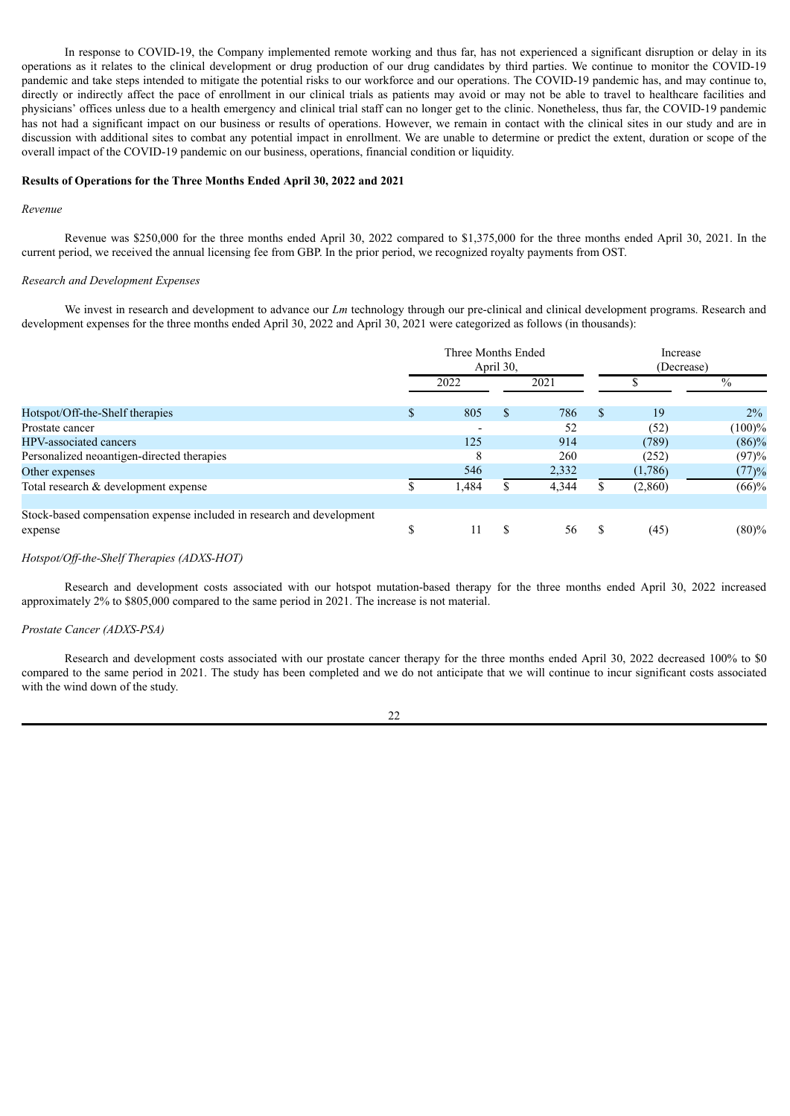In response to COVID-19, the Company implemented remote working and thus far, has not experienced a significant disruption or delay in its operations as it relates to the clinical development or drug production of our drug candidates by third parties. We continue to monitor the COVID-19 pandemic and take steps intended to mitigate the potential risks to our workforce and our operations. The COVID-19 pandemic has, and may continue to, directly or indirectly affect the pace of enrollment in our clinical trials as patients may avoid or may not be able to travel to healthcare facilities and physicians' offices unless due to a health emergency and clinical trial staff can no longer get to the clinic. Nonetheless, thus far, the COVID-19 pandemic has not had a significant impact on our business or results of operations. However, we remain in contact with the clinical sites in our study and are in discussion with additional sites to combat any potential impact in enrollment. We are unable to determine or predict the extent, duration or scope of the overall impact of the COVID-19 pandemic on our business, operations, financial condition or liquidity.

## **Results of Operations for the Three Months Ended April 30, 2022 and 2021**

#### *Revenue*

Revenue was \$250,000 for the three months ended April 30, 2022 compared to \$1,375,000 for the three months ended April 30, 2021. In the current period, we received the annual licensing fee from GBP. In the prior period, we recognized royalty payments from OST.

#### *Research and Development Expenses*

We invest in research and development to advance our *Lm* technology through our pre-clinical and clinical development programs. Research and development expenses for the three months ended April 30, 2022 and April 30, 2021 were categorized as follows (in thousands):

|                                                                       | Three Months Ended<br>April 30, |      |               | Increase<br>(Decrease) |    |         |               |
|-----------------------------------------------------------------------|---------------------------------|------|---------------|------------------------|----|---------|---------------|
|                                                                       |                                 | 2022 |               | 2021                   |    |         | $\frac{0}{0}$ |
| Hotspot/Off-the-Shelf therapies                                       |                                 | 805  | $\mathbf{\$}$ | 786                    | \$ | 19      | $2\%$         |
| Prostate cancer                                                       |                                 |      |               | 52                     |    | (52)    | (100)%        |
| HPV-associated cancers                                                |                                 | 125  |               | 914                    |    | (789)   | $(86)\%$      |
| Personalized neoantigen-directed therapies                            |                                 | 8    |               | 260                    |    | (252)   | (97)%         |
| Other expenses                                                        |                                 | 546  |               | 2,332                  |    | (1,786) | (77)%         |
| Total research & development expense                                  |                                 | .484 |               | 4,344                  |    | (2,860) | (66)%         |
| Stock-based compensation expense included in research and development |                                 |      |               |                        |    |         |               |
| expense                                                               |                                 | 11   | S             | 56                     |    | (45)    | $(80) \%$     |

#### *Hotspot/Of -the-Shelf Therapies (ADXS-HOT)*

Research and development costs associated with our hotspot mutation-based therapy for the three months ended April 30, 2022 increased approximately 2% to \$805,000 compared to the same period in 2021. The increase is not material.

#### *Prostate Cancer (ADXS-PSA)*

Research and development costs associated with our prostate cancer therapy for the three months ended April 30, 2022 decreased 100% to \$0 compared to the same period in 2021. The study has been completed and we do not anticipate that we will continue to incur significant costs associated with the wind down of the study.

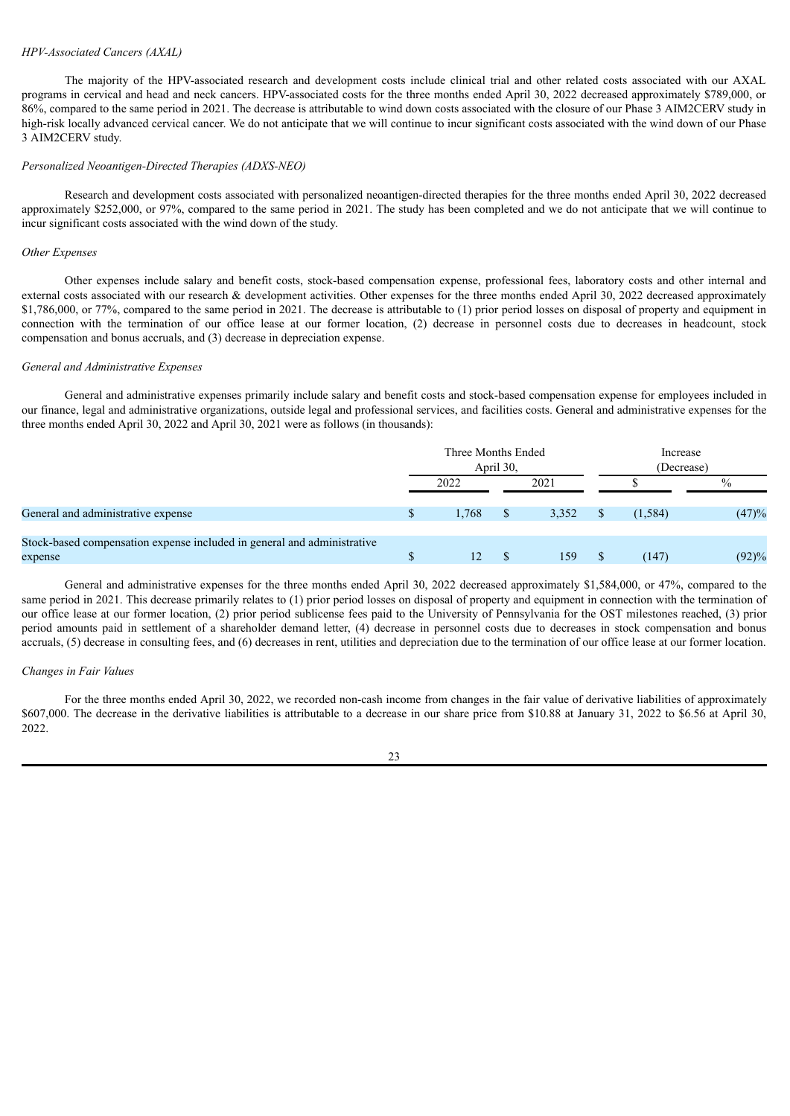## *HPV-Associated Cancers (AXAL)*

The majority of the HPV-associated research and development costs include clinical trial and other related costs associated with our AXAL programs in cervical and head and neck cancers. HPV-associated costs for the three months ended April 30, 2022 decreased approximately \$789,000, or 86%, compared to the same period in 2021. The decrease is attributable to wind down costs associated with the closure of our Phase 3 AIM2CERV study in high-risk locally advanced cervical cancer. We do not anticipate that we will continue to incur significant costs associated with the wind down of our Phase 3 AIM2CERV study.

## *Personalized Neoantigen-Directed Therapies (ADXS-NEO)*

Research and development costs associated with personalized neoantigen-directed therapies for the three months ended April 30, 2022 decreased approximately \$252,000, or 97%, compared to the same period in 2021. The study has been completed and we do not anticipate that we will continue to incur significant costs associated with the wind down of the study.

#### *Other Expenses*

Other expenses include salary and benefit costs, stock-based compensation expense, professional fees, laboratory costs and other internal and external costs associated with our research  $\&$  development activities. Other expenses for the three months ended April 30, 2022 decreased approximately \$1,786,000, or 77%, compared to the same period in 2021. The decrease is attributable to (1) prior period losses on disposal of property and equipment in connection with the termination of our office lease at our former location, (2) decrease in personnel costs due to decreases in headcount, stock compensation and bonus accruals, and (3) decrease in depreciation expense.

#### *General and Administrative Expenses*

General and administrative expenses primarily include salary and benefit costs and stock-based compensation expense for employees included in our finance, legal and administrative organizations, outside legal and professional services, and facilities costs. General and administrative expenses for the three months ended April 30, 2022 and April 30, 2021 were as follows (in thousands):

|                                                                                    | Three Months Ended<br>April 30, |       |  | Increase<br>(Decrease) |  |          |       |  |
|------------------------------------------------------------------------------------|---------------------------------|-------|--|------------------------|--|----------|-------|--|
|                                                                                    |                                 | 2022  |  | 2021                   |  |          | $\%$  |  |
| General and administrative expense                                                 |                                 | 1.768 |  | 3.352                  |  | (1, 584) | (47)% |  |
| Stock-based compensation expense included in general and administrative<br>expense |                                 |       |  | 159                    |  | (147)    | (92)% |  |

General and administrative expenses for the three months ended April 30, 2022 decreased approximately \$1,584,000, or 47%, compared to the same period in 2021. This decrease primarily relates to (1) prior period losses on disposal of property and equipment in connection with the termination of our office lease at our former location, (2) prior period sublicense fees paid to the University of Pennsylvania for the OST milestones reached, (3) prior period amounts paid in settlement of a shareholder demand letter, (4) decrease in personnel costs due to decreases in stock compensation and bonus accruals, (5) decrease in consulting fees, and (6) decreases in rent, utilities and depreciation due to the termination of our office lease at our former location.

#### *Changes in Fair Values*

For the three months ended April 30, 2022, we recorded non-cash income from changes in the fair value of derivative liabilities of approximately \$607,000. The decrease in the derivative liabilities is attributable to a decrease in our share price from \$10.88 at January 31, 2022 to \$6.56 at April 30, 2022.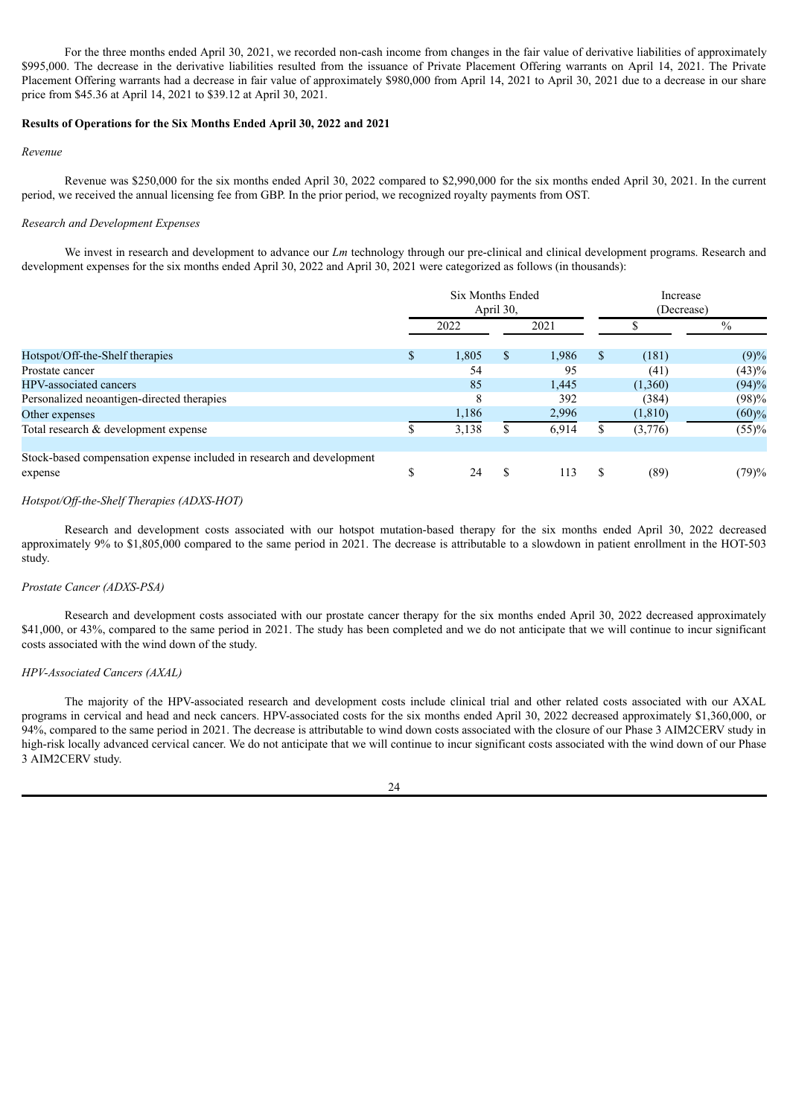For the three months ended April 30, 2021, we recorded non-cash income from changes in the fair value of derivative liabilities of approximately \$995,000. The decrease in the derivative liabilities resulted from the issuance of Private Placement Offering warrants on April 14, 2021. The Private Placement Offering warrants had a decrease in fair value of approximately \$980,000 from April 14, 2021 to April 30, 2021 due to a decrease in our share price from \$45.36 at April 14, 2021 to \$39.12 at April 30, 2021.

# **Results of Operations for the Six Months Ended April 30, 2022 and 2021**

#### *Revenue*

Revenue was \$250,000 for the six months ended April 30, 2022 compared to \$2,990,000 for the six months ended April 30, 2021. In the current period, we received the annual licensing fee from GBP. In the prior period, we recognized royalty payments from OST.

## *Research and Development Expenses*

We invest in research and development to advance our *Lm* technology through our pre-clinical and clinical development programs. Research and development expenses for the six months ended April 30, 2022 and April 30, 2021 were categorized as follows (in thousands):

|                                                                                  | Six Months Ended<br>April 30, |       |      |       |     | Increase<br>(Decrease) |               |  |
|----------------------------------------------------------------------------------|-------------------------------|-------|------|-------|-----|------------------------|---------------|--|
|                                                                                  | 2022                          |       | 2021 |       |     |                        | $\frac{0}{0}$ |  |
| Hotspot/Off-the-Shelf therapies                                                  | S                             | 1,805 | \$   | 1,986 | \$  | (181)                  | (9)%          |  |
| Prostate cancer                                                                  |                               | 54    |      | 95    |     | (41)                   | (43)%         |  |
| HPV-associated cancers                                                           |                               | 85    |      | 1,445 |     | (1,360)                | (94)%         |  |
| Personalized neoantigen-directed therapies                                       |                               | 8     |      | 392   |     | (384)                  | (98)%         |  |
| Other expenses                                                                   |                               | 1,186 |      | 2,996 |     | (1, 810)               | (60)%         |  |
| Total research & development expense                                             |                               | 3,138 |      | 6,914 |     | (3,776)                | (55)%         |  |
| Stock-based compensation expense included in research and development<br>expense | S                             | 24    | -S   | 113   | \$. | (89)                   | (79)%         |  |

# *Hotspot/Of -the-Shelf Therapies (ADXS-HOT)*

Research and development costs associated with our hotspot mutation-based therapy for the six months ended April 30, 2022 decreased approximately 9% to \$1,805,000 compared to the same period in 2021. The decrease is attributable to a slowdown in patient enrollment in the HOT-503 study.

#### *Prostate Cancer (ADXS-PSA)*

Research and development costs associated with our prostate cancer therapy for the six months ended April 30, 2022 decreased approximately \$41,000, or 43%, compared to the same period in 2021. The study has been completed and we do not anticipate that we will continue to incur significant costs associated with the wind down of the study.

### *HPV-Associated Cancers (AXAL)*

The majority of the HPV-associated research and development costs include clinical trial and other related costs associated with our AXAL programs in cervical and head and neck cancers. HPV-associated costs for the six months ended April 30, 2022 decreased approximately \$1,360,000, or 94%, compared to the same period in 2021. The decrease is attributable to wind down costs associated with the closure of our Phase 3 AIM2CERV study in high-risk locally advanced cervical cancer. We do not anticipate that we will continue to incur significant costs associated with the wind down of our Phase 3 AIM2CERV study.

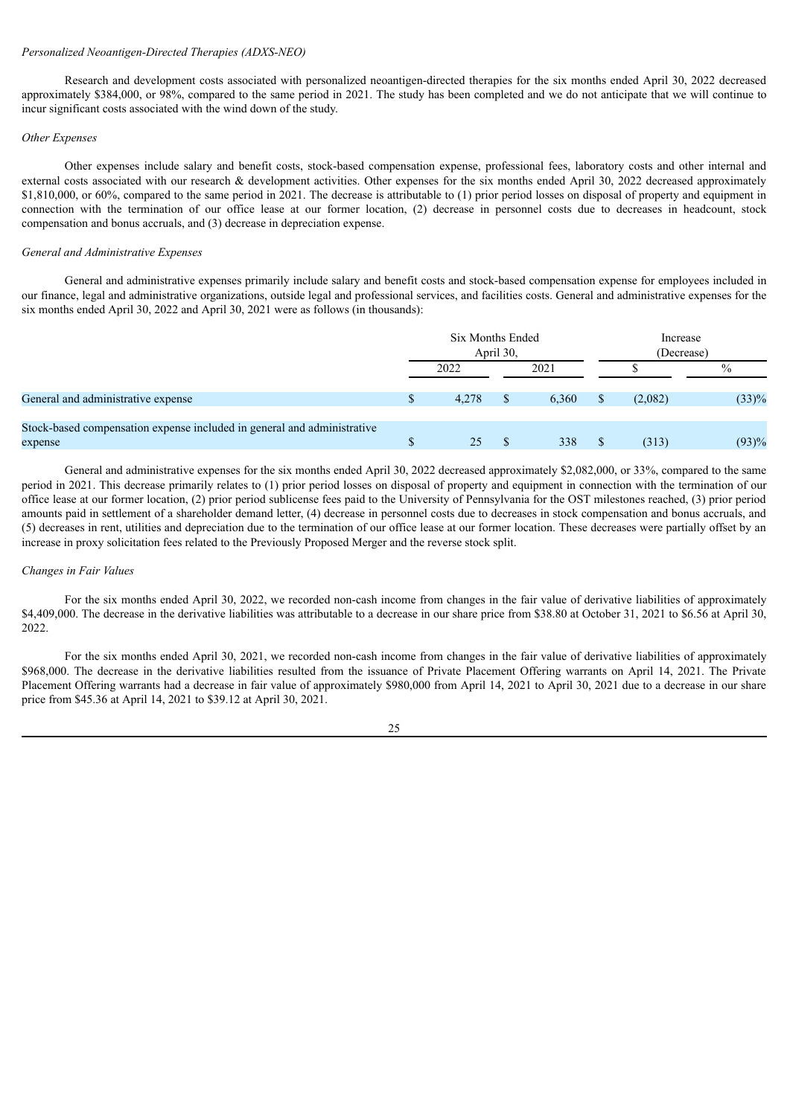# *Personalized Neoantigen-Directed Therapies (ADXS-NEO)*

Research and development costs associated with personalized neoantigen-directed therapies for the six months ended April 30, 2022 decreased approximately \$384,000, or 98%, compared to the same period in 2021. The study has been completed and we do not anticipate that we will continue to incur significant costs associated with the wind down of the study.

#### *Other Expenses*

Other expenses include salary and benefit costs, stock-based compensation expense, professional fees, laboratory costs and other internal and external costs associated with our research & development activities. Other expenses for the six months ended April 30, 2022 decreased approximately \$1,810,000, or 60%, compared to the same period in 2021. The decrease is attributable to (1) prior period losses on disposal of property and equipment in connection with the termination of our office lease at our former location, (2) decrease in personnel costs due to decreases in headcount, stock compensation and bonus accruals, and (3) decrease in depreciation expense.

#### *General and Administrative Expenses*

General and administrative expenses primarily include salary and benefit costs and stock-based compensation expense for employees included in our finance, legal and administrative organizations, outside legal and professional services, and facilities costs. General and administrative expenses for the six months ended April 30, 2022 and April 30, 2021 were as follows (in thousands):

|                                                                                    | Six Months Ended<br>April 30, |       |      | Increase<br>(Decrease) |  |         |               |  |
|------------------------------------------------------------------------------------|-------------------------------|-------|------|------------------------|--|---------|---------------|--|
|                                                                                    | 2022                          |       | 2021 |                        |  |         | $\frac{0}{0}$ |  |
| General and administrative expense                                                 |                               | 4.278 |      | 6.360                  |  | (2,082) | (33)%         |  |
| Stock-based compensation expense included in general and administrative<br>expense |                               | 25    |      | 338                    |  | (313)   | (93)%         |  |

General and administrative expenses for the six months ended April 30, 2022 decreased approximately \$2,082,000, or 33%, compared to the same period in 2021. This decrease primarily relates to (1) prior period losses on disposal of property and equipment in connection with the termination of our office lease at our former location, (2) prior period sublicense fees paid to the University of Pennsylvania for the OST milestones reached, (3) prior period amounts paid in settlement of a shareholder demand letter, (4) decrease in personnel costs due to decreases in stock compensation and bonus accruals, and (5) decreases in rent, utilities and depreciation due to the termination of our office lease at our former location. These decreases were partially offset by an increase in proxy solicitation fees related to the Previously Proposed Merger and the reverse stock split.

#### *Changes in Fair Values*

For the six months ended April 30, 2022, we recorded non-cash income from changes in the fair value of derivative liabilities of approximately \$4,409,000. The decrease in the derivative liabilities was attributable to a decrease in our share price from \$38.80 at October 31, 2021 to \$6.56 at April 30, 2022.

For the six months ended April 30, 2021, we recorded non-cash income from changes in the fair value of derivative liabilities of approximately \$968,000. The decrease in the derivative liabilities resulted from the issuance of Private Placement Offering warrants on April 14, 2021. The Private Placement Offering warrants had a decrease in fair value of approximately \$980,000 from April 14, 2021 to April 30, 2021 due to a decrease in our share price from \$45.36 at April 14, 2021 to \$39.12 at April 30, 2021.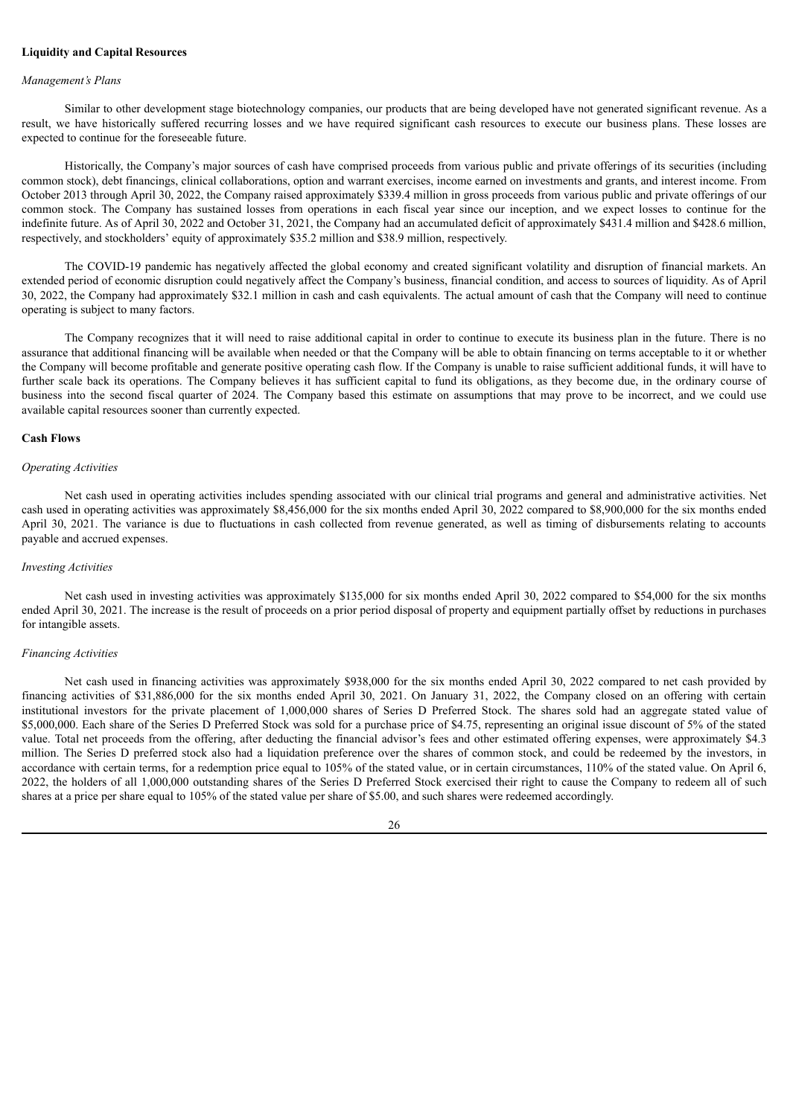#### **Liquidity and Capital Resources**

#### *Management's Plans*

Similar to other development stage biotechnology companies, our products that are being developed have not generated significant revenue. As a result, we have historically suffered recurring losses and we have required significant cash resources to execute our business plans. These losses are expected to continue for the foreseeable future.

Historically, the Company's major sources of cash have comprised proceeds from various public and private offerings of its securities (including common stock), debt financings, clinical collaborations, option and warrant exercises, income earned on investments and grants, and interest income. From October 2013 through April 30, 2022, the Company raised approximately \$339.4 million in gross proceeds from various public and private offerings of our common stock. The Company has sustained losses from operations in each fiscal year since our inception, and we expect losses to continue for the indefinite future. As of April 30, 2022 and October 31, 2021, the Company had an accumulated deficit of approximately \$431.4 million and \$428.6 million, respectively, and stockholders' equity of approximately \$35.2 million and \$38.9 million, respectively.

The COVID-19 pandemic has negatively affected the global economy and created significant volatility and disruption of financial markets. An extended period of economic disruption could negatively affect the Company's business, financial condition, and access to sources of liquidity. As of April 30, 2022, the Company had approximately \$32.1 million in cash and cash equivalents. The actual amount of cash that the Company will need to continue operating is subject to many factors.

The Company recognizes that it will need to raise additional capital in order to continue to execute its business plan in the future. There is no assurance that additional financing will be available when needed or that the Company will be able to obtain financing on terms acceptable to it or whether the Company will become profitable and generate positive operating cash flow. If the Company is unable to raise sufficient additional funds, it will have to further scale back its operations. The Company believes it has sufficient capital to fund its obligations, as they become due, in the ordinary course of business into the second fiscal quarter of 2024. The Company based this estimate on assumptions that may prove to be incorrect, and we could use available capital resources sooner than currently expected.

#### **Cash Flows**

#### *Operating Activities*

Net cash used in operating activities includes spending associated with our clinical trial programs and general and administrative activities. Net cash used in operating activities was approximately \$8,456,000 for the six months ended April 30, 2022 compared to \$8,900,000 for the six months ended April 30, 2021. The variance is due to fluctuations in cash collected from revenue generated, as well as timing of disbursements relating to accounts payable and accrued expenses.

#### *Investing Activities*

Net cash used in investing activities was approximately \$135,000 for six months ended April 30, 2022 compared to \$54,000 for the six months ended April 30, 2021. The increase is the result of proceeds on a prior period disposal of property and equipment partially offset by reductions in purchases for intangible assets.

#### *Financing Activities*

Net cash used in financing activities was approximately \$938,000 for the six months ended April 30, 2022 compared to net cash provided by financing activities of \$31,886,000 for the six months ended April 30, 2021. On January 31, 2022, the Company closed on an offering with certain institutional investors for the private placement of 1,000,000 shares of Series D Preferred Stock. The shares sold had an aggregate stated value of \$5,000,000. Each share of the Series D Preferred Stock was sold for a purchase price of \$4.75, representing an original issue discount of 5% of the stated value. Total net proceeds from the offering, after deducting the financial advisor's fees and other estimated offering expenses, were approximately \$4.3 million. The Series D preferred stock also had a liquidation preference over the shares of common stock, and could be redeemed by the investors, in accordance with certain terms, for a redemption price equal to 105% of the stated value, or in certain circumstances, 110% of the stated value. On April 6, 2022, the holders of all 1,000,000 outstanding shares of the Series D Preferred Stock exercised their right to cause the Company to redeem all of such shares at a price per share equal to 105% of the stated value per share of \$5.00, and such shares were redeemed accordingly.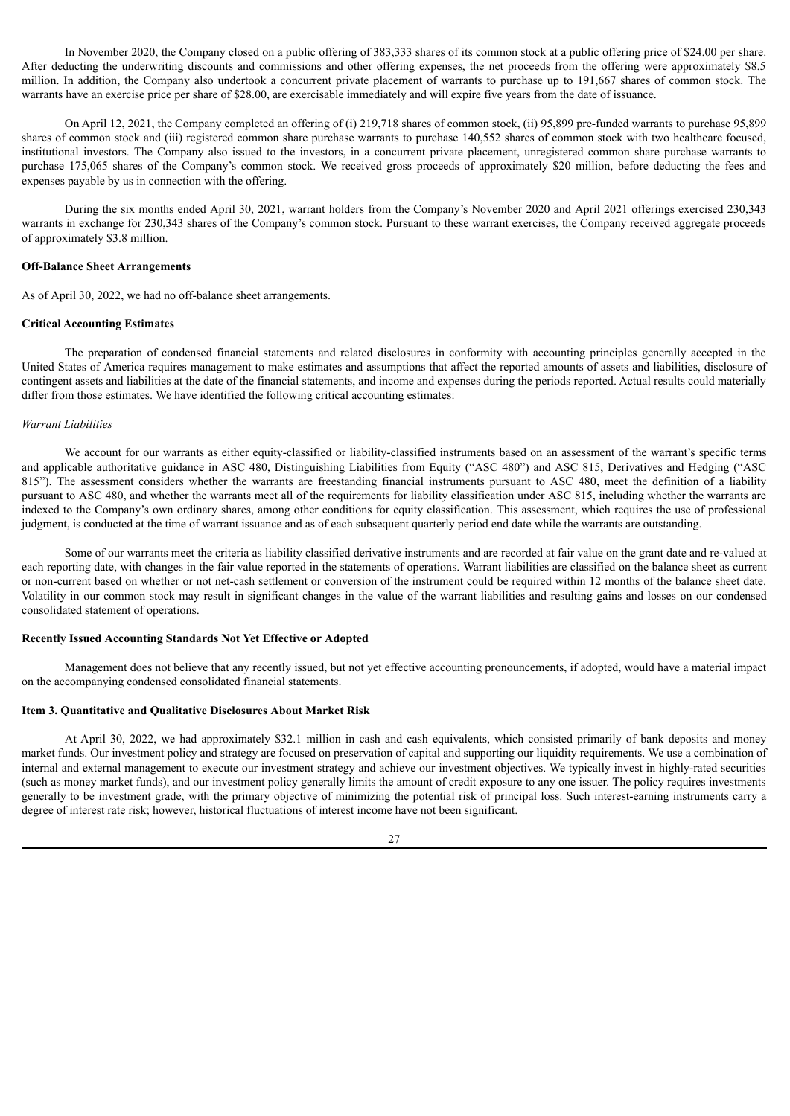In November 2020, the Company closed on a public offering of 383,333 shares of its common stock at a public offering price of \$24.00 per share. After deducting the underwriting discounts and commissions and other offering expenses, the net proceeds from the offering were approximately \$8.5 million. In addition, the Company also undertook a concurrent private placement of warrants to purchase up to 191,667 shares of common stock. The warrants have an exercise price per share of \$28.00, are exercisable immediately and will expire five years from the date of issuance.

On April 12, 2021, the Company completed an offering of (i) 219,718 shares of common stock, (ii) 95,899 pre-funded warrants to purchase 95,899 shares of common stock and (iii) registered common share purchase warrants to purchase 140,552 shares of common stock with two healthcare focused, institutional investors. The Company also issued to the investors, in a concurrent private placement, unregistered common share purchase warrants to purchase 175,065 shares of the Company's common stock. We received gross proceeds of approximately \$20 million, before deducting the fees and expenses payable by us in connection with the offering.

During the six months ended April 30, 2021, warrant holders from the Company's November 2020 and April 2021 offerings exercised 230,343 warrants in exchange for 230,343 shares of the Company's common stock. Pursuant to these warrant exercises, the Company received aggregate proceeds of approximately \$3.8 million.

#### **Off-Balance Sheet Arrangements**

As of April 30, 2022, we had no off-balance sheet arrangements.

## **Critical Accounting Estimates**

The preparation of condensed financial statements and related disclosures in conformity with accounting principles generally accepted in the United States of America requires management to make estimates and assumptions that affect the reported amounts of assets and liabilities, disclosure of contingent assets and liabilities at the date of the financial statements, and income and expenses during the periods reported. Actual results could materially differ from those estimates. We have identified the following critical accounting estimates:

#### *Warrant Liabilities*

We account for our warrants as either equity-classified or liability-classified instruments based on an assessment of the warrant's specific terms and applicable authoritative guidance in ASC 480, Distinguishing Liabilities from Equity ("ASC 480") and ASC 815, Derivatives and Hedging ("ASC 815"). The assessment considers whether the warrants are freestanding financial instruments pursuant to ASC 480, meet the definition of a liability pursuant to ASC 480, and whether the warrants meet all of the requirements for liability classification under ASC 815, including whether the warrants are indexed to the Company's own ordinary shares, among other conditions for equity classification. This assessment, which requires the use of professional judgment, is conducted at the time of warrant issuance and as of each subsequent quarterly period end date while the warrants are outstanding.

Some of our warrants meet the criteria as liability classified derivative instruments and are recorded at fair value on the grant date and re-valued at each reporting date, with changes in the fair value reported in the statements of operations. Warrant liabilities are classified on the balance sheet as current or non-current based on whether or not net-cash settlement or conversion of the instrument could be required within 12 months of the balance sheet date. Volatility in our common stock may result in significant changes in the value of the warrant liabilities and resulting gains and losses on our condensed consolidated statement of operations.

#### **Recently Issued Accounting Standards Not Yet Effective or Adopted**

Management does not believe that any recently issued, but not yet effective accounting pronouncements, if adopted, would have a material impact on the accompanying condensed consolidated financial statements.

#### <span id="page-26-0"></span>**Item 3. Quantitative and Qualitative Disclosures About Market Risk**

At April 30, 2022, we had approximately \$32.1 million in cash and cash equivalents, which consisted primarily of bank deposits and money market funds. Our investment policy and strategy are focused on preservation of capital and supporting our liquidity requirements. We use a combination of internal and external management to execute our investment strategy and achieve our investment objectives. We typically invest in highly-rated securities (such as money market funds), and our investment policy generally limits the amount of credit exposure to any one issuer. The policy requires investments generally to be investment grade, with the primary objective of minimizing the potential risk of principal loss. Such interest-earning instruments carry a degree of interest rate risk; however, historical fluctuations of interest income have not been significant.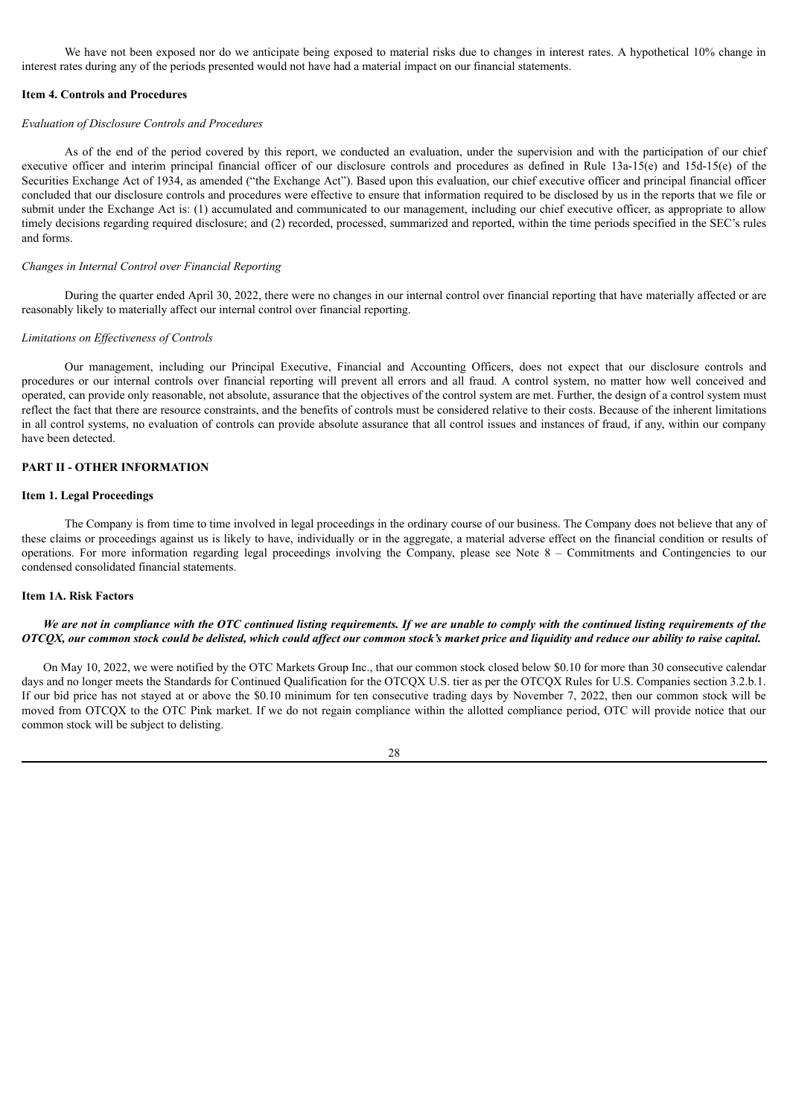We have not been exposed nor do we anticipate being exposed to material risks due to changes in interest rates. A hypothetical 10% change in interest rates during any of the periods presented would not have had a material impact on our financial statements.

### <span id="page-27-0"></span>**Item 4. Controls and Procedures**

#### *Evaluation of Disclosure Controls and Procedures*

As of the end of the period covered by this report, we conducted an evaluation, under the supervision and with the participation of our chief executive officer and interim principal financial officer of our disclosure controls and procedures as defined in Rule 13a-15(e) and 15d-15(e) of the Securities Exchange Act of 1934, as amended ("the Exchange Act"). Based upon this evaluation, our chief executive officer and principal financial officer concluded that our disclosure controls and procedures were effective to ensure that information required to be disclosed by us in the reports that we file or submit under the Exchange Act is: (1) accumulated and communicated to our management, including our chief executive officer, as appropriate to allow timely decisions regarding required disclosure; and (2) recorded, processed, summarized and reported, within the time periods specified in the SEC's rules and forms.

#### *Changes in Internal Control over Financial Reporting*

During the quarter ended April 30, 2022, there were no changes in our internal control over financial reporting that have materially affected or are reasonably likely to materially affect our internal control over financial reporting.

#### *Limitations on Ef ectiveness of Controls*

Our management, including our Principal Executive, Financial and Accounting Officers, does not expect that our disclosure controls and procedures or our internal controls over financial reporting will prevent all errors and all fraud. A control system, no matter how well conceived and operated, can provide only reasonable, not absolute, assurance that the objectives of the control system are met. Further, the design of a control system must reflect the fact that there are resource constraints, and the benefits of controls must be considered relative to their costs. Because of the inherent limitations in all control systems, no evaluation of controls can provide absolute assurance that all control issues and instances of fraud, if any, within our company have been detected.

# <span id="page-27-1"></span>**PART II - OTHER INFORMATION**

#### <span id="page-27-2"></span>**Item 1. Legal Proceedings**

The Company is from time to time involved in legal proceedings in the ordinary course of our business. The Company does not believe that any of these claims or proceedings against us is likely to have, individually or in the aggregate, a material adverse effect on the financial condition or results of operations. For more information regarding legal proceedings involving the Company, please see Note 8 – Commitments and Contingencies to our condensed consolidated financial statements.

#### <span id="page-27-3"></span>**Item 1A. Risk Factors**

# We are not in compliance with the OTC continued listing requirements. If we are unable to comply with the continued listing requirements of the OTCQX, our common stock could be delisted, which could affect our common stock's market price and liquidity and reduce our ability to raise capital.

On May 10, 2022, we were notified by the OTC Markets Group Inc., that our common stock closed below \$0.10 for more than 30 consecutive calendar days and no longer meets the Standards for Continued Qualification for the OTCQX U.S. tier as per the OTCQX Rules for U.S. Companies section 3.2.b.1. If our bid price has not stayed at or above the \$0.10 minimum for ten consecutive trading days by November 7, 2022, then our common stock will be moved from OTCQX to the OTC Pink market. If we do not regain compliance within the allotted compliance period, OTC will provide notice that our common stock will be subject to delisting.

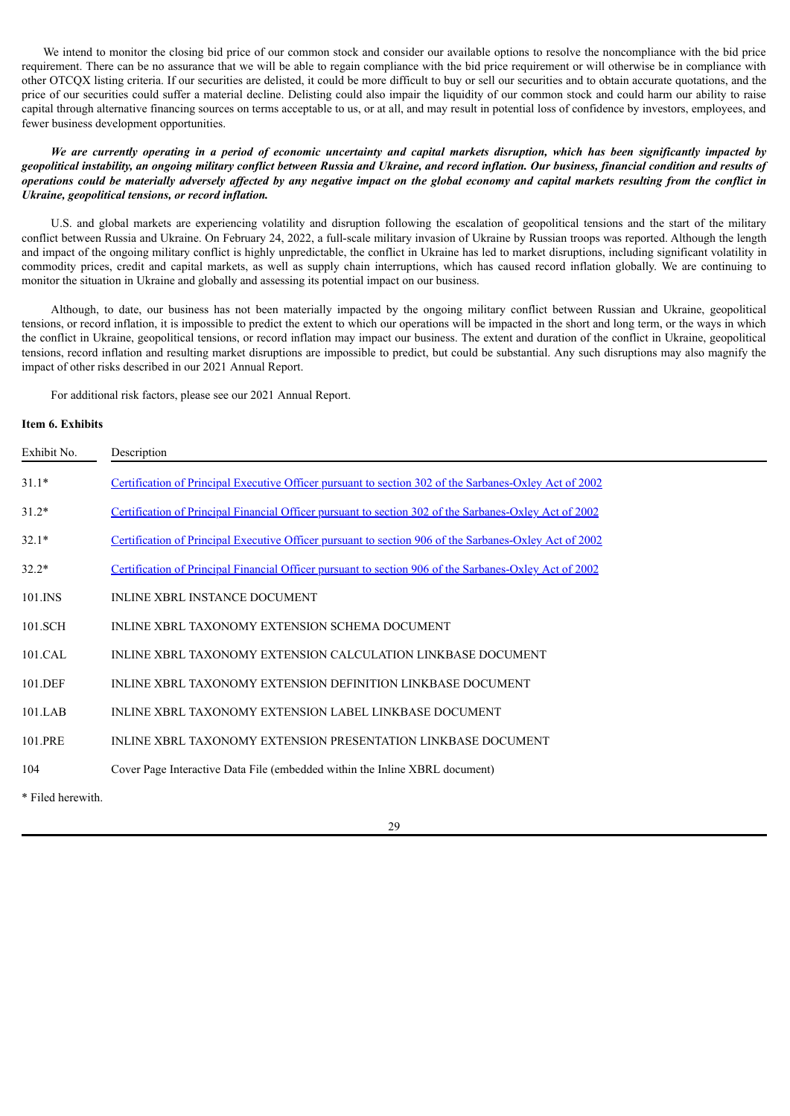We intend to monitor the closing bid price of our common stock and consider our available options to resolve the noncompliance with the bid price requirement. There can be no assurance that we will be able to regain compliance with the bid price requirement or will otherwise be in compliance with other OTCQX listing criteria. If our securities are delisted, it could be more difficult to buy or sell our securities and to obtain accurate quotations, and the price of our securities could suffer a material decline. Delisting could also impair the liquidity of our common stock and could harm our ability to raise capital through alternative financing sources on terms acceptable to us, or at all, and may result in potential loss of confidence by investors, employees, and fewer business development opportunities.

We are currently operating in a period of economic uncertainty and capital markets disruption, which has been significantly impacted by geopolitical instability, an ongoing military conflict between Russia and Ukraine, and record inflation. Our business, financial condition and results of operations could be materially adversely affected by any negative impact on the global economy and capital markets resulting from the conflict in *Ukraine, geopolitical tensions, or record inflation.*

U.S. and global markets are experiencing volatility and disruption following the escalation of geopolitical tensions and the start of the military conflict between Russia and Ukraine. On February 24, 2022, a full-scale military invasion of Ukraine by Russian troops was reported. Although the length and impact of the ongoing military conflict is highly unpredictable, the conflict in Ukraine has led to market disruptions, including significant volatility in commodity prices, credit and capital markets, as well as supply chain interruptions, which has caused record inflation globally. We are continuing to monitor the situation in Ukraine and globally and assessing its potential impact on our business.

Although, to date, our business has not been materially impacted by the ongoing military conflict between Russian and Ukraine, geopolitical tensions, or record inflation, it is impossible to predict the extent to which our operations will be impacted in the short and long term, or the ways in which the conflict in Ukraine, geopolitical tensions, or record inflation may impact our business. The extent and duration of the conflict in Ukraine, geopolitical tensions, record inflation and resulting market disruptions are impossible to predict, but could be substantial. Any such disruptions may also magnify the impact of other risks described in our 2021 Annual Report.

For additional risk factors, please see our 2021 Annual Report.

#### <span id="page-28-0"></span>**Item 6. Exhibits**

| Exhibit No. | Description                                                                                            |
|-------------|--------------------------------------------------------------------------------------------------------|
| $31.1*$     | Certification of Principal Executive Officer pursuant to section 302 of the Sarbanes-Oxley Act of 2002 |
| $31.2*$     | Certification of Principal Financial Officer pursuant to section 302 of the Sarbanes-Oxley Act of 2002 |
| $32.1*$     | Certification of Principal Executive Officer pursuant to section 906 of the Sarbanes-Oxley Act of 2002 |
| $32.2*$     | Certification of Principal Financial Officer pursuant to section 906 of the Sarbanes-Oxley Act of 2002 |
| 101.INS     | <b>INLINE XBRL INSTANCE DOCUMENT</b>                                                                   |
| 101.SCH     | <b>INLINE XBRL TAXONOMY EXTENSION SCHEMA DOCUMENT</b>                                                  |
| 101.CAL     | INLINE XBRL TAXONOMY EXTENSION CALCULATION LINKBASE DOCUMENT                                           |
| 101.DEF     | INLINE XBRL TAXONOMY EXTENSION DEFINITION LINKBASE DOCUMENT                                            |
| 101.LAB     | <b>INLINE XBRL TAXONOMY EXTENSION LABEL LINKBASE DOCUMENT</b>                                          |
| 101.PRE     | INLINE XBRL TAXONOMY EXTENSION PRESENTATION LINKBASE DOCUMENT                                          |
| 104         | Cover Page Interactive Data File (embedded within the Inline XBRL document)                            |
|             |                                                                                                        |

\* Filed herewith.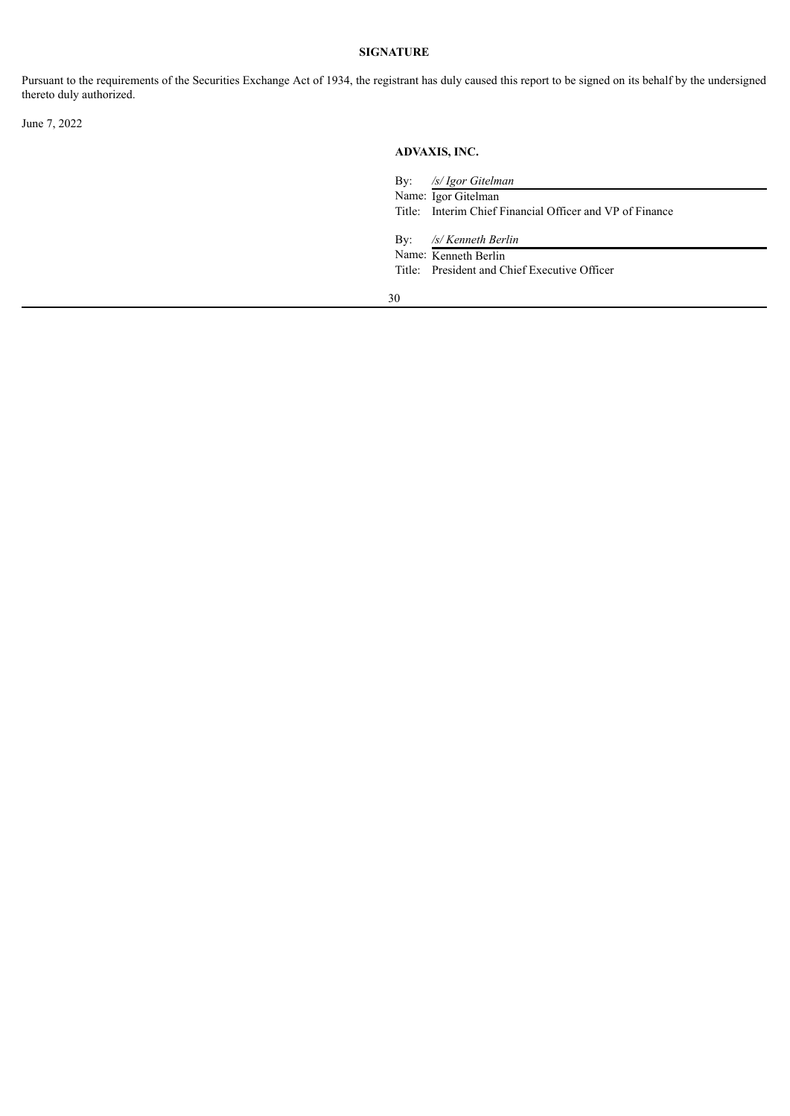# **SIGNATURE**

<span id="page-29-0"></span>Pursuant to the requirements of the Securities Exchange Act of 1934, the registrant has duly caused this report to be signed on its behalf by the undersigned thereto duly authorized.

June 7, 2022

# **ADVAXIS, INC.**

By: */s/ Igor Gitelman* Name: Igor Gitelman Title: Interim Chief Financial Officer and VP of Finance

By: */s/ Kenneth Berlin*

Name: Kenneth Berlin Title: President and Chief Executive Officer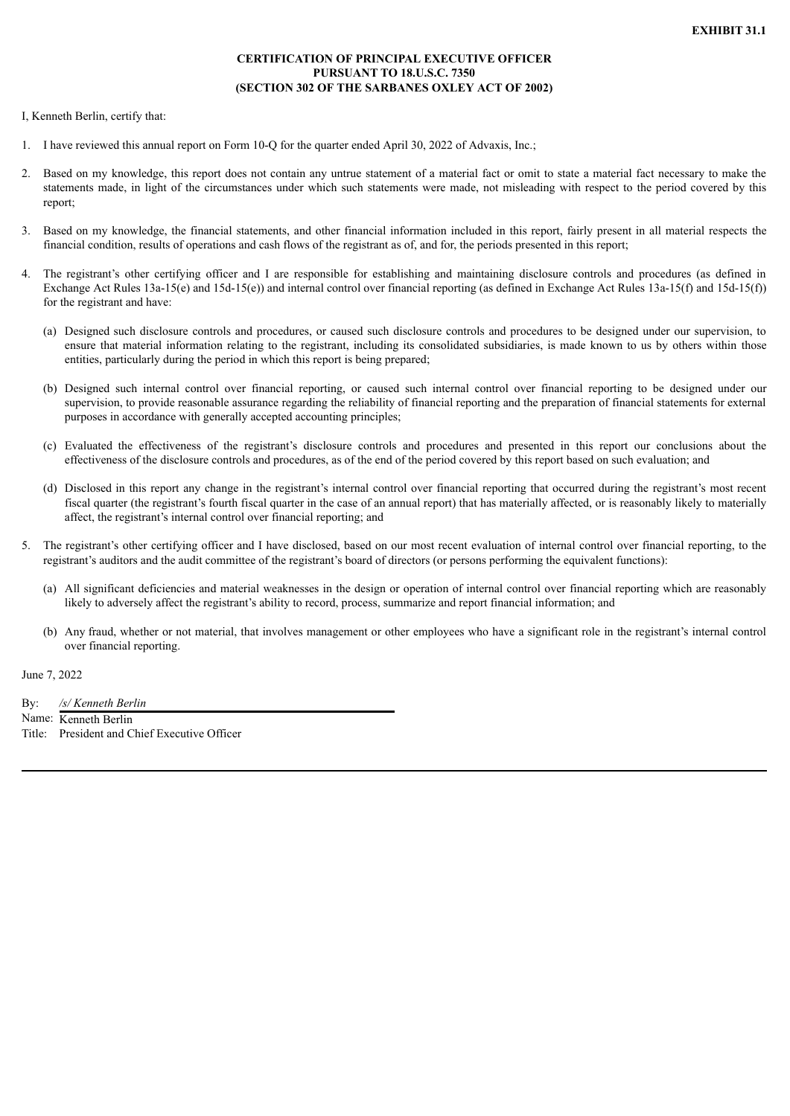# **CERTIFICATION OF PRINCIPAL EXECUTIVE OFFICER PURSUANT TO 18.U.S.C. 7350 (SECTION 302 OF THE SARBANES OXLEY ACT OF 2002)**

<span id="page-30-0"></span>I, Kenneth Berlin, certify that:

- 1. I have reviewed this annual report on Form 10-Q for the quarter ended April 30, 2022 of Advaxis, Inc.;
- 2. Based on my knowledge, this report does not contain any untrue statement of a material fact or omit to state a material fact necessary to make the statements made, in light of the circumstances under which such statements were made, not misleading with respect to the period covered by this report;
- 3. Based on my knowledge, the financial statements, and other financial information included in this report, fairly present in all material respects the financial condition, results of operations and cash flows of the registrant as of, and for, the periods presented in this report;
- 4. The registrant's other certifying officer and I are responsible for establishing and maintaining disclosure controls and procedures (as defined in Exchange Act Rules 13a-15(e) and 15d-15(e)) and internal control over financial reporting (as defined in Exchange Act Rules 13a-15(f) and 15d-15(f)) for the registrant and have:
	- (a) Designed such disclosure controls and procedures, or caused such disclosure controls and procedures to be designed under our supervision, to ensure that material information relating to the registrant, including its consolidated subsidiaries, is made known to us by others within those entities, particularly during the period in which this report is being prepared;
	- (b) Designed such internal control over financial reporting, or caused such internal control over financial reporting to be designed under our supervision, to provide reasonable assurance regarding the reliability of financial reporting and the preparation of financial statements for external purposes in accordance with generally accepted accounting principles;
	- (c) Evaluated the effectiveness of the registrant's disclosure controls and procedures and presented in this report our conclusions about the effectiveness of the disclosure controls and procedures, as of the end of the period covered by this report based on such evaluation; and
	- (d) Disclosed in this report any change in the registrant's internal control over financial reporting that occurred during the registrant's most recent fiscal quarter (the registrant's fourth fiscal quarter in the case of an annual report) that has materially affected, or is reasonably likely to materially affect, the registrant's internal control over financial reporting; and
- 5. The registrant's other certifying officer and I have disclosed, based on our most recent evaluation of internal control over financial reporting, to the registrant's auditors and the audit committee of the registrant's board of directors (or persons performing the equivalent functions):
	- (a) All significant deficiencies and material weaknesses in the design or operation of internal control over financial reporting which are reasonably likely to adversely affect the registrant's ability to record, process, summarize and report financial information; and
	- (b) Any fraud, whether or not material, that involves management or other employees who have a significant role in the registrant's internal control over financial reporting.

June 7, 2022

By: */s/ Kenneth Berlin*

Name: Kenneth Berlin Title: President and Chief Executive Officer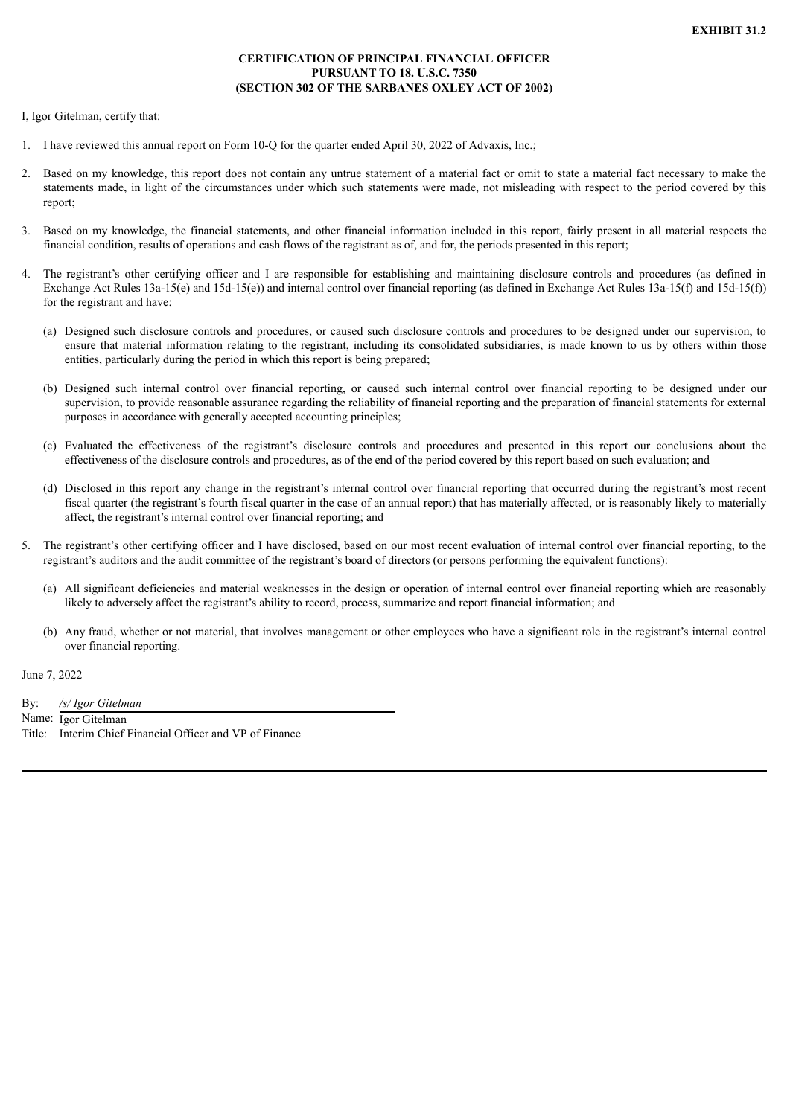# **CERTIFICATION OF PRINCIPAL FINANCIAL OFFICER PURSUANT TO 18. U.S.C. 7350 (SECTION 302 OF THE SARBANES OXLEY ACT OF 2002)**

<span id="page-31-0"></span>I, Igor Gitelman, certify that:

- 1. I have reviewed this annual report on Form 10-Q for the quarter ended April 30, 2022 of Advaxis, Inc.;
- 2. Based on my knowledge, this report does not contain any untrue statement of a material fact or omit to state a material fact necessary to make the statements made, in light of the circumstances under which such statements were made, not misleading with respect to the period covered by this report;
- 3. Based on my knowledge, the financial statements, and other financial information included in this report, fairly present in all material respects the financial condition, results of operations and cash flows of the registrant as of, and for, the periods presented in this report;
- 4. The registrant's other certifying officer and I are responsible for establishing and maintaining disclosure controls and procedures (as defined in Exchange Act Rules 13a-15(e) and 15d-15(e)) and internal control over financial reporting (as defined in Exchange Act Rules 13a-15(f) and 15d-15(f)) for the registrant and have:
	- (a) Designed such disclosure controls and procedures, or caused such disclosure controls and procedures to be designed under our supervision, to ensure that material information relating to the registrant, including its consolidated subsidiaries, is made known to us by others within those entities, particularly during the period in which this report is being prepared;
	- (b) Designed such internal control over financial reporting, or caused such internal control over financial reporting to be designed under our supervision, to provide reasonable assurance regarding the reliability of financial reporting and the preparation of financial statements for external purposes in accordance with generally accepted accounting principles;
	- (c) Evaluated the effectiveness of the registrant's disclosure controls and procedures and presented in this report our conclusions about the effectiveness of the disclosure controls and procedures, as of the end of the period covered by this report based on such evaluation; and
	- (d) Disclosed in this report any change in the registrant's internal control over financial reporting that occurred during the registrant's most recent fiscal quarter (the registrant's fourth fiscal quarter in the case of an annual report) that has materially affected, or is reasonably likely to materially affect, the registrant's internal control over financial reporting; and
- 5. The registrant's other certifying officer and I have disclosed, based on our most recent evaluation of internal control over financial reporting, to the registrant's auditors and the audit committee of the registrant's board of directors (or persons performing the equivalent functions):
	- (a) All significant deficiencies and material weaknesses in the design or operation of internal control over financial reporting which are reasonably likely to adversely affect the registrant's ability to record, process, summarize and report financial information; and
	- (b) Any fraud, whether or not material, that involves management or other employees who have a significant role in the registrant's internal control over financial reporting.

June 7, 2022

By: */s/ Igor Gitelman*

Name: Igor Gitelman

Title: Interim Chief Financial Officer and VP of Finance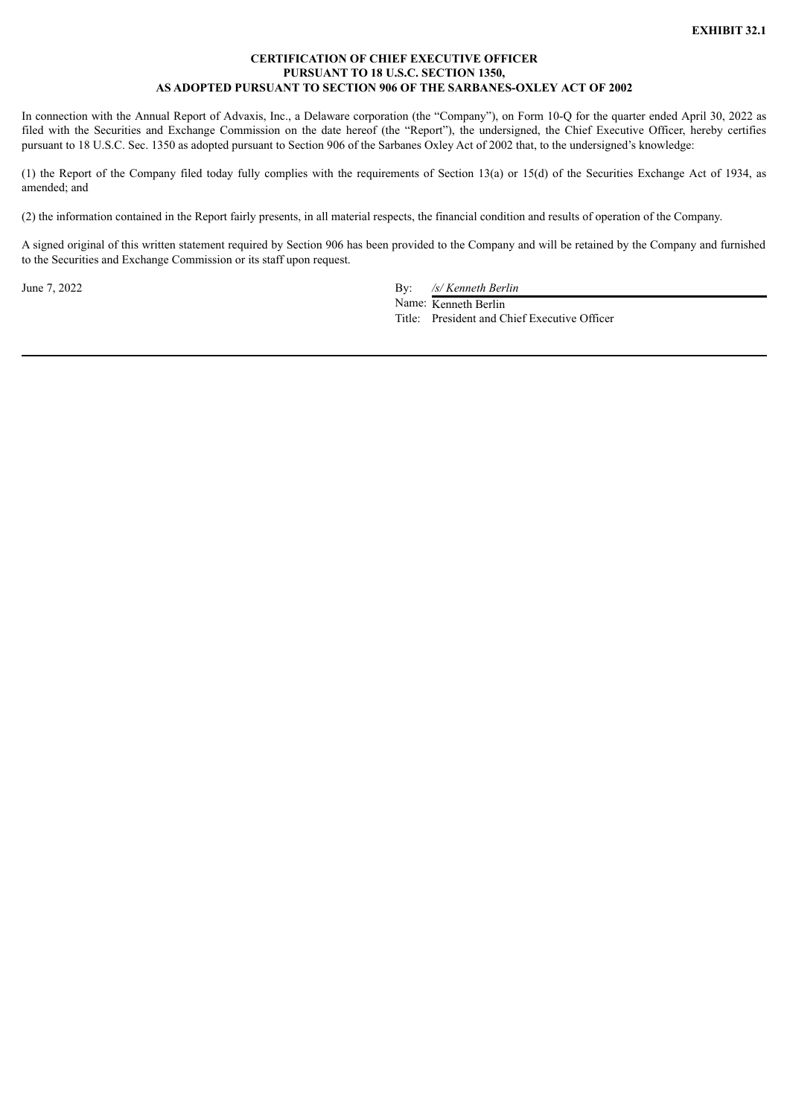# **CERTIFICATION OF CHIEF EXECUTIVE OFFICER PURSUANT TO 18 U.S.C. SECTION 1350, AS ADOPTED PURSUANT TO SECTION 906 OF THE SARBANES-OXLEY ACT OF 2002**

<span id="page-32-0"></span>In connection with the Annual Report of Advaxis, Inc., a Delaware corporation (the "Company"), on Form 10-Q for the quarter ended April 30, 2022 as filed with the Securities and Exchange Commission on the date hereof (the "Report"), the undersigned, the Chief Executive Officer, hereby certifies pursuant to 18 U.S.C. Sec. 1350 as adopted pursuant to Section 906 of the Sarbanes Oxley Act of 2002 that, to the undersigned's knowledge:

(1) the Report of the Company filed today fully complies with the requirements of Section 13(a) or 15(d) of the Securities Exchange Act of 1934, as amended; and

(2) the information contained in the Report fairly presents, in all material respects, the financial condition and results of operation of the Company.

A signed original of this written statement required by Section 906 has been provided to the Company and will be retained by the Company and furnished to the Securities and Exchange Commission or its staff upon request.

June 7, 2022 By: */s/ Kenneth Berlin*

Name: Kenneth Berlin Title: President and Chief Executive Officer